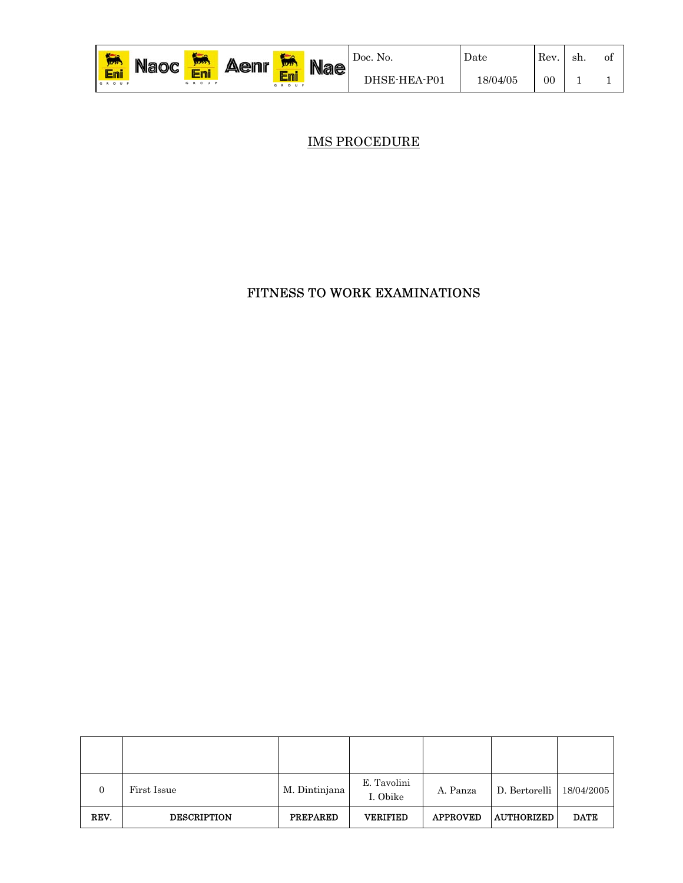| <b>K</b> <sub>no</sub><br><b>MAY</b> | $\mathbf{u}$ aloc $\mathbf{C}$ | <b>King</b><br>12222<br><b>Free</b> | <b>Aenr</b> | 12222               | <b>Nae</b> | Doc. No.     | Date     | Rev     | -sh. | 01 |
|--------------------------------------|--------------------------------|-------------------------------------|-------------|---------------------|------------|--------------|----------|---------|------|----|
| En.<br>GROUP                         |                                | GROUP                               |             | E<br>'EII.<br>GROUP |            | DHSE-HEA-P01 | 18/04/05 | $_{00}$ |      |    |

IMS PROCEDURE

#### FITNESS TO WORK EXAMINATIONS

| $\Omega$ | First Issue        | M. Dintinjana   | E. Tavolini<br>I. Obike | A. Panza        | D. Bertorelli   $18/04/2005$ |             |
|----------|--------------------|-----------------|-------------------------|-----------------|------------------------------|-------------|
| REV.     | <b>DESCRIPTION</b> | <b>PREPARED</b> | <b>VERIFIED</b>         | <b>APPROVED</b> | <b>AUTHORIZED</b>            | <b>DATE</b> |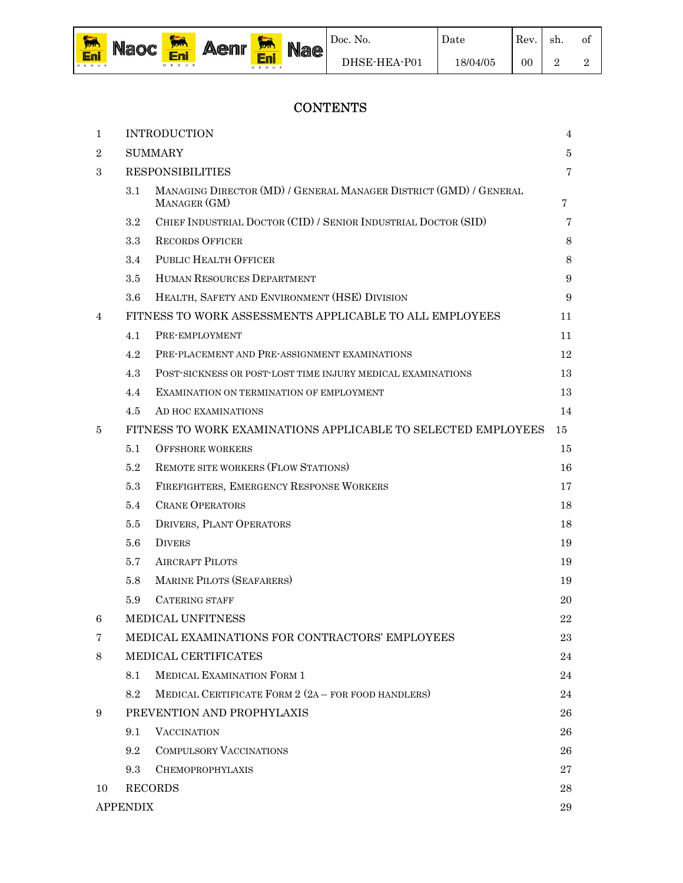

Date

of 2

## **CONTENTS**

| 1              |                 | <b>INTRODUCTION</b>                                                               | 4       |
|----------------|-----------------|-----------------------------------------------------------------------------------|---------|
| $\overline{2}$ |                 | <b>SUMMARY</b>                                                                    | $\bf 5$ |
| 3              |                 | <b>RESPONSIBILITIES</b>                                                           | 7       |
|                | 3.1             | MANAGING DIRECTOR (MD) / GENERAL MANAGER DISTRICT (GMD) / GENERAL<br>MANAGER (GM) | 7       |
|                | $3.2\,$         | CHIEF INDUSTRIAL DOCTOR (CID) / SENIOR INDUSTRIAL DOCTOR (SID)                    | 7       |
|                | $3.3\,$         | <b>RECORDS OFFICER</b>                                                            | 8       |
|                | 3.4             | PUBLIC HEALTH OFFICER                                                             | 8       |
|                | 3.5             | HUMAN RESOURCES DEPARTMENT                                                        | 9       |
|                | 3.6             | HEALTH, SAFETY AND ENVIRONMENT (HSE) DIVISION                                     | 9       |
| 4              |                 | FITNESS TO WORK ASSESSMENTS APPLICABLE TO ALL EMPLOYEES                           | 11      |
|                | 4.1             | PRE-EMPLOYMENT                                                                    | 11      |
|                | 4.2             | PRE-PLACEMENT AND PRE-ASSIGNMENT EXAMINATIONS                                     | 12      |
|                | 4.3             | POST-SICKNESS OR POST-LOST TIME INJURY MEDICAL EXAMINATIONS                       | 13      |
|                | 4.4             | EXAMINATION ON TERMINATION OF EMPLOYMENT                                          | 13      |
|                | 4.5             | AD HOC EXAMINATIONS                                                               | 14      |
| 5              |                 | FITNESS TO WORK EXAMINATIONS APPLICABLE TO SELECTED EMPLOYEES                     | 15      |
|                | 5.1             | <b>OFFSHORE WORKERS</b>                                                           | 15      |
|                | 5.2             | REMOTE SITE WORKERS (FLOW STATIONS)                                               | 16      |
|                | 5.3             | FIREFIGHTERS, EMERGENCY RESPONSE WORKERS                                          | 17      |
|                | $5.4\,$         | <b>CRANE OPERATORS</b>                                                            | 18      |
|                | 5.5             | DRIVERS, PLANT OPERATORS                                                          | 18      |
|                | 5.6             | <b>DIVERS</b>                                                                     | 19      |
|                | 5.7             | <b>AIRCRAFT PILOTS</b>                                                            | 19      |
|                | 5.8             | <b>MARINE PILOTS (SEAFARERS)</b>                                                  | 19      |
|                | 5.9             | <b>CATERING STAFF</b>                                                             | 20      |
| 6              |                 | <b>MEDICAL UNFITNESS</b>                                                          | 22      |
| 7              |                 | MEDICAL EXAMINATIONS FOR CONTRACTORS' EMPLOYEES                                   | 23      |
| 8              |                 | MEDICAL CERTIFICATES                                                              | 24      |
|                | 8.1             | <b>MEDICAL EXAMINATION FORM 1</b>                                                 | 24      |
|                | 8.2             | MEDICAL CERTIFICATE FORM 2 (2A - FOR FOOD HANDLERS)                               | 24      |
| 9              |                 | PREVENTION AND PROPHYLAXIS                                                        | 26      |
|                | 9.1             | <b>VACCINATION</b>                                                                | 26      |
|                | 9.2             | <b>COMPULSORY VACCINATIONS</b>                                                    | 26      |
|                | 9.3             | <b>CHEMOPROPHYLAXIS</b>                                                           | 27      |
| 10             |                 | <b>RECORDS</b>                                                                    | 28      |
|                | <b>APPENDIX</b> |                                                                                   | 29      |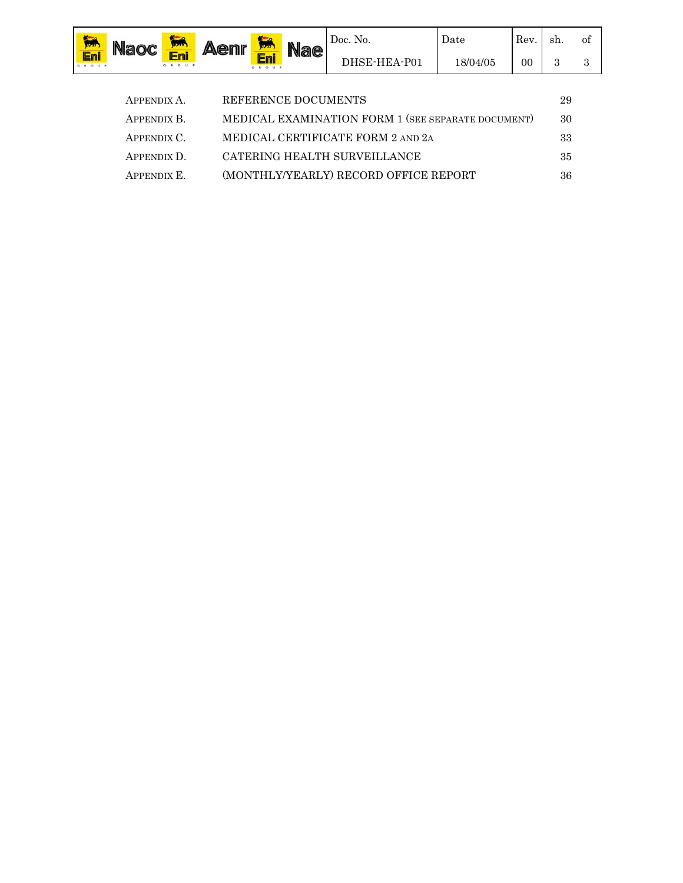| 娜   | <b>Naoc</b>                                                       |                                    | <b>Aenr</b><br>Jizar) |              | <b>Nae</b> | Doc. No.     | Date     | Rev. | sh. | οt |
|-----|-------------------------------------------------------------------|------------------------------------|-----------------------|--------------|------------|--------------|----------|------|-----|----|
| Eni |                                                                   | Eni<br>GROUP                       |                       | Eni<br>GROUP |            | DHSE-HEA-P01 | 18/04/05 | 00   | 3   | ּפ |
|     |                                                                   |                                    |                       |              |            |              |          |      |     |    |
|     |                                                                   | REFERENCE DOCUMENTS<br>APPENDIX A. |                       |              |            |              | 29       |      |     |    |
|     | MEDICAL EXAMINATION FORM 1 (SEE SEPARATE DOCUMENT)<br>APPENDIX B. |                                    |                       |              |            | 30           |          |      |     |    |

APPENDIX C. MEDICAL CERTIFICATE FORM 2 AND 2A 33 APPENDIX D. CATERING HEALTH SURVEILLANCE 35 APPENDIX E. (MONTHLY/YEARLY) RECORD OFFICE REPORT 36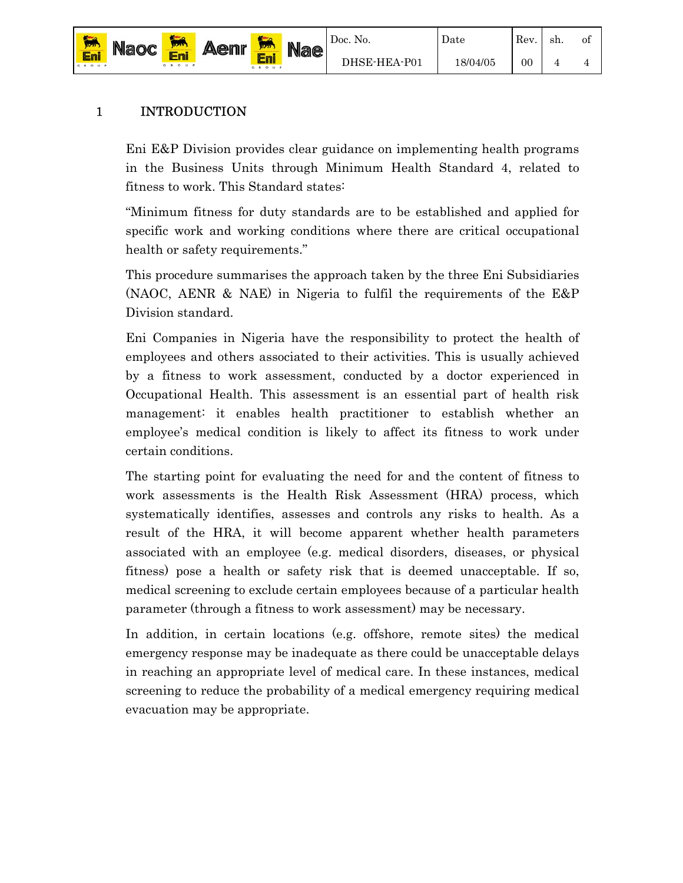

Eni

of 4

# 1 INTRODUCTION

Eni E&P Division provides clear guidance on implementing health programs in the Business Units through Minimum Health Standard 4, related to fitness to work. This Standard states:

"Minimum fitness for duty standards are to be established and applied for specific work and working conditions where there are critical occupational health or safety requirements."

This procedure summarises the approach taken by the three Eni Subsidiaries (NAOC, AENR & NAE) in Nigeria to fulfil the requirements of the E&P Division standard.

Eni Companies in Nigeria have the responsibility to protect the health of employees and others associated to their activities. This is usually achieved by a fitness to work assessment, conducted by a doctor experienced in Occupational Health. This assessment is an essential part of health risk management: it enables health practitioner to establish whether an employee's medical condition is likely to affect its fitness to work under certain conditions.

The starting point for evaluating the need for and the content of fitness to work assessments is the Health Risk Assessment (HRA) process, which systematically identifies, assesses and controls any risks to health. As a result of the HRA, it will become apparent whether health parameters associated with an employee (e.g. medical disorders, diseases, or physical fitness) pose a health or safety risk that is deemed unacceptable. If so, medical screening to exclude certain employees because of a particular health parameter (through a fitness to work assessment) may be necessary.

In addition, in certain locations (e.g. offshore, remote sites) the medical emergency response may be inadequate as there could be unacceptable delays in reaching an appropriate level of medical care. In these instances, medical screening to reduce the probability of a medical emergency requiring medical evacuation may be appropriate.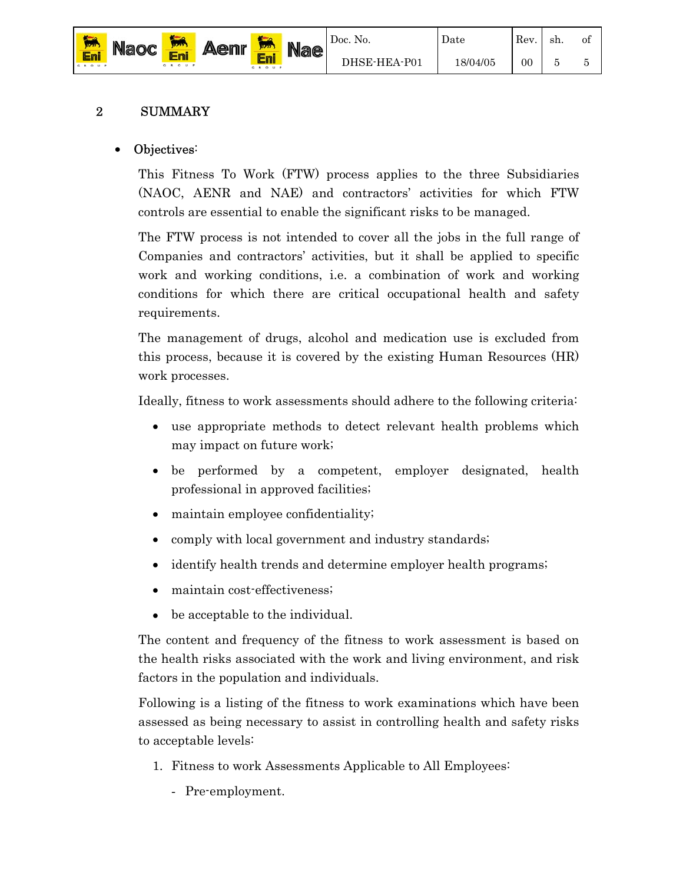

#### 2 SUMMARY

Eni

#### Objectives:

This Fitness To Work (FTW) process applies to the three Subsidiaries (NAOC, AENR and NAE) and contractors' activities for which FTW controls are essential to enable the significant risks to be managed.

The FTW process is not intended to cover all the jobs in the full range of Companies and contractors' activities, but it shall be applied to specific work and working conditions, i.e. a combination of work and working conditions for which there are critical occupational health and safety requirements.

The management of drugs, alcohol and medication use is excluded from this process, because it is covered by the existing Human Resources (HR) work processes.

Ideally, fitness to work assessments should adhere to the following criteria:

- use appropriate methods to detect relevant health problems which may impact on future work;
- be performed by a competent, employer designated, health professional in approved facilities;
- maintain employee confidentiality;
- comply with local government and industry standards;
- identify health trends and determine employer health programs;
- maintain cost-effectiveness;
- be acceptable to the individual.

The content and frequency of the fitness to work assessment is based on the health risks associated with the work and living environment, and risk factors in the population and individuals.

Following is a listing of the fitness to work examinations which have been assessed as being necessary to assist in controlling health and safety risks to acceptable levels:

- 1. Fitness to work Assessments Applicable to All Employees:
	- Pre-employment.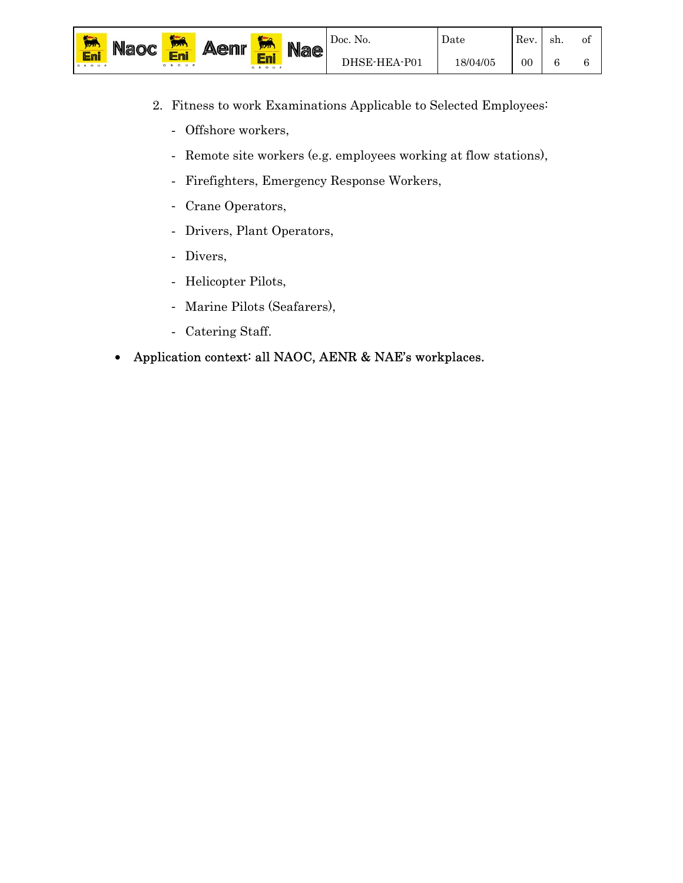

- 2. Fitness to work Examinations Applicable to Selected Employees:
	- Offshore workers,
	- Remote site workers (e.g. employees working at flow stations),
	- Firefighters, Emergency Response Workers,
	- Crane Operators,
	- Drivers, Plant Operators,
	- Divers,
	- Helicopter Pilots,
	- Marine Pilots (Seafarers),
	- Catering Staff.
- Application context: all NAOC, AENR & NAE's workplaces.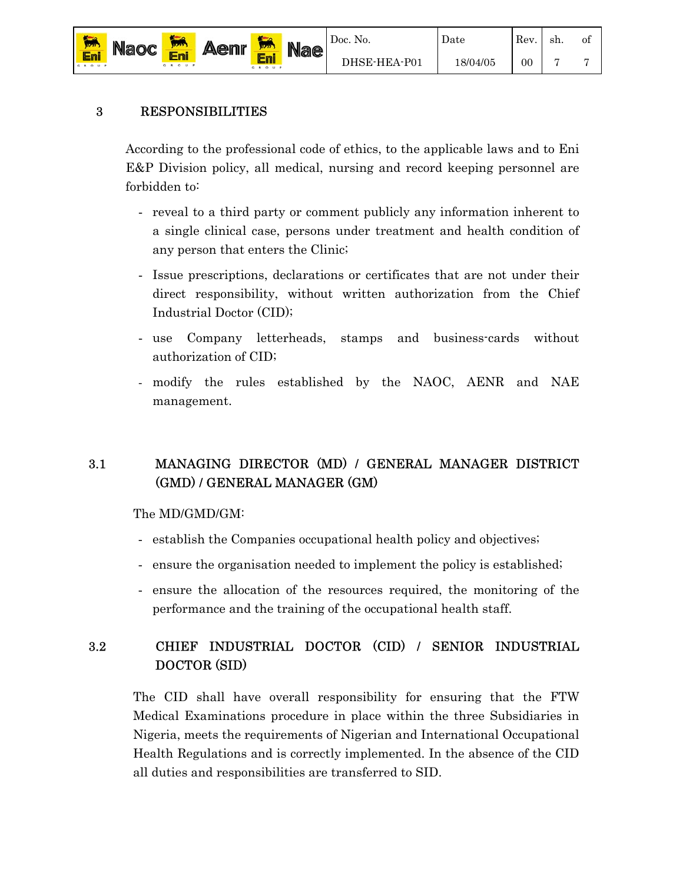

## 3 RESPONSIBILITIES

According to the professional code of ethics, to the applicable laws and to Eni E&P Division policy, all medical, nursing and record keeping personnel are forbidden to:

- reveal to a third party or comment publicly any information inherent to a single clinical case, persons under treatment and health condition of any person that enters the Clinic;
- Issue prescriptions, declarations or certificates that are not under their direct responsibility, without written authorization from the Chief Industrial Doctor (CID);
- use Company letterheads, stamps and business-cards without authorization of CID;
- modify the rules established by the NAOC, AENR and NAE management.

## 3.1 MANAGING DIRECTOR (MD) / GENERAL MANAGER DISTRICT (GMD) / GENERAL MANAGER (GM)

The MD/GMD/GM:

- establish the Companies occupational health policy and objectives;
- ensure the organisation needed to implement the policy is established;
- ensure the allocation of the resources required, the monitoring of the performance and the training of the occupational health staff.

## 3.2 CHIEF INDUSTRIAL DOCTOR (CID) / SENIOR INDUSTRIAL DOCTOR (SID)

The CID shall have overall responsibility for ensuring that the FTW Medical Examinations procedure in place within the three Subsidiaries in Nigeria, meets the requirements of Nigerian and International Occupational Health Regulations and is correctly implemented. In the absence of the CID all duties and responsibilities are transferred to SID.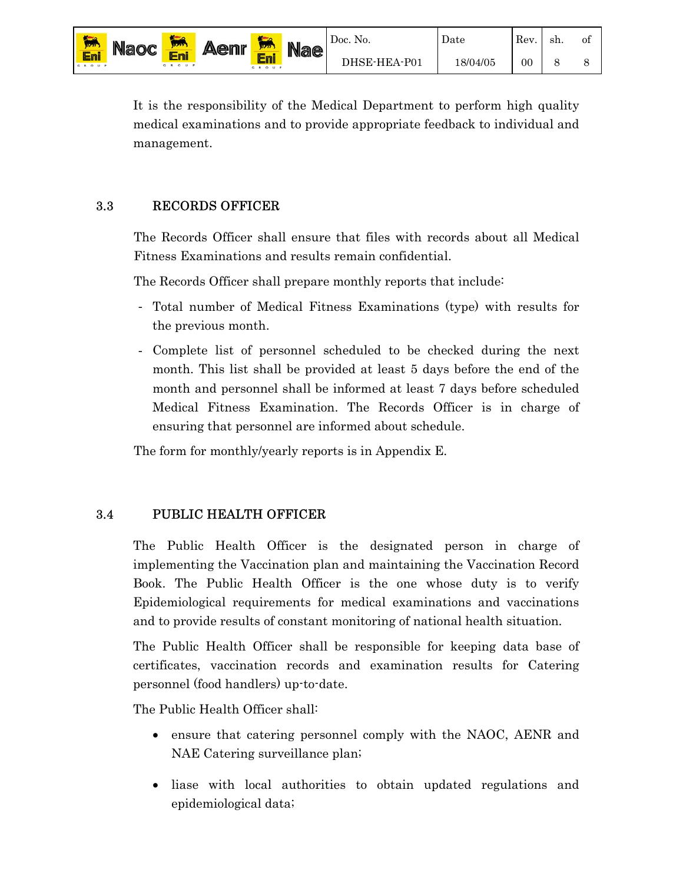

It is the responsibility of the Medical Department to perform high quality medical examinations and to provide appropriate feedback to individual and management.

#### 3.3 RECORDS OFFICER

The Records Officer shall ensure that files with records about all Medical Fitness Examinations and results remain confidential.

The Records Officer shall prepare monthly reports that include:

- Total number of Medical Fitness Examinations (type) with results for the previous month.
- Complete list of personnel scheduled to be checked during the next month. This list shall be provided at least 5 days before the end of the month and personnel shall be informed at least 7 days before scheduled Medical Fitness Examination. The Records Officer is in charge of ensuring that personnel are informed about schedule.

The form for monthly/yearly reports is in Appendix E.

#### 3.4 PUBLIC HEALTH OFFICER

The Public Health Officer is the designated person in charge of implementing the Vaccination plan and maintaining the Vaccination Record Book. The Public Health Officer is the one whose duty is to verify Epidemiological requirements for medical examinations and vaccinations and to provide results of constant monitoring of national health situation.

The Public Health Officer shall be responsible for keeping data base of certificates, vaccination records and examination results for Catering personnel (food handlers) up-to-date.

The Public Health Officer shall:

- ensure that catering personnel comply with the NAOC, AENR and NAE Catering surveillance plan;
- liase with local authorities to obtain updated regulations and epidemiological data;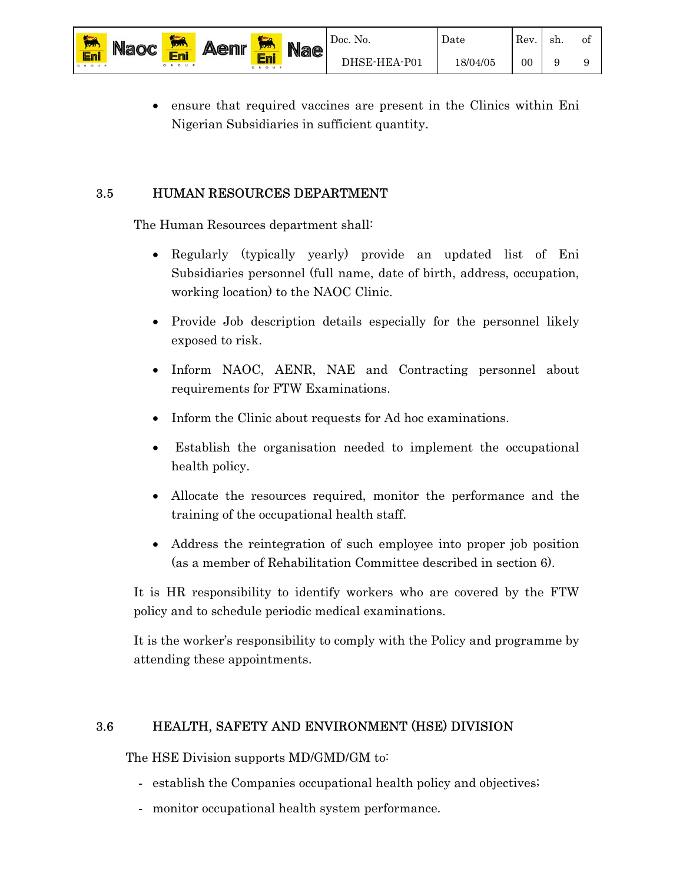• ensure that required vaccines are present in the Clinics within Eni Nigerian Subsidiaries in sufficient quantity.

#### 3.5 HUMAN RESOURCES DEPARTMENT

Eni

The Human Resources department shall:

- Regularly (typically yearly) provide an updated list of Eni Subsidiaries personnel (full name, date of birth, address, occupation, working location) to the NAOC Clinic.
- Provide Job description details especially for the personnel likely exposed to risk.
- Inform NAOC, AENR, NAE and Contracting personnel about requirements for FTW Examinations.
- Inform the Clinic about requests for Ad hoc examinations.
- Establish the organisation needed to implement the occupational health policy.
- Allocate the resources required, monitor the performance and the training of the occupational health staff.
- Address the reintegration of such employee into proper job position (as a member of Rehabilitation Committee described in section 6).

It is HR responsibility to identify workers who are covered by the FTW policy and to schedule periodic medical examinations.

It is the worker's responsibility to comply with the Policy and programme by attending these appointments.

#### 3.6 HEALTH, SAFETY AND ENVIRONMENT (HSE) DIVISION

The HSE Division supports MD/GMD/GM to:

- establish the Companies occupational health policy and objectives;
- monitor occupational health system performance.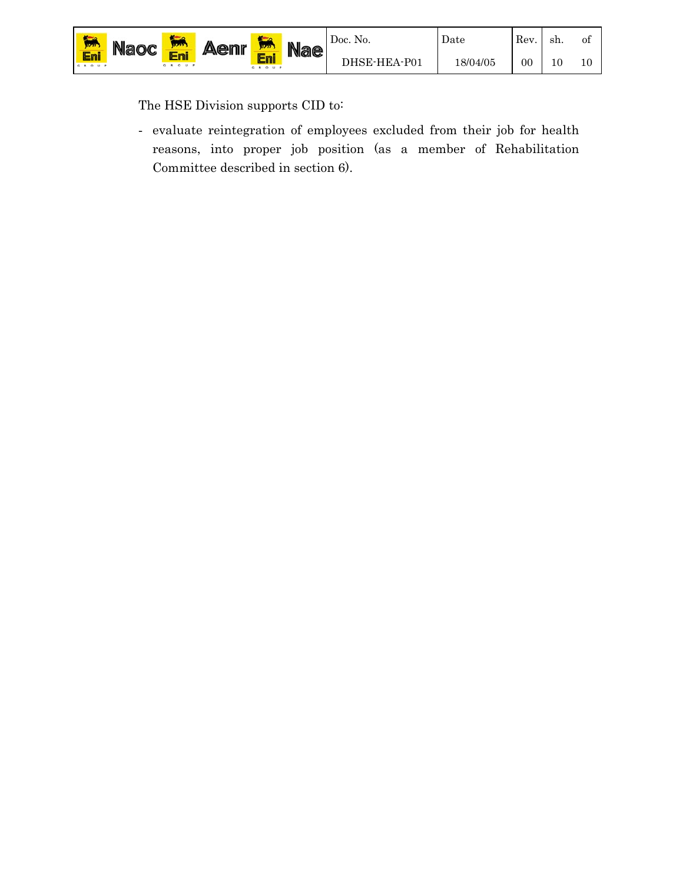The HSE Division supports CID to:

- evaluate reintegration of employees excluded from their job for health reasons, into proper job position (as a member of Rehabilitation Committee described in section 6).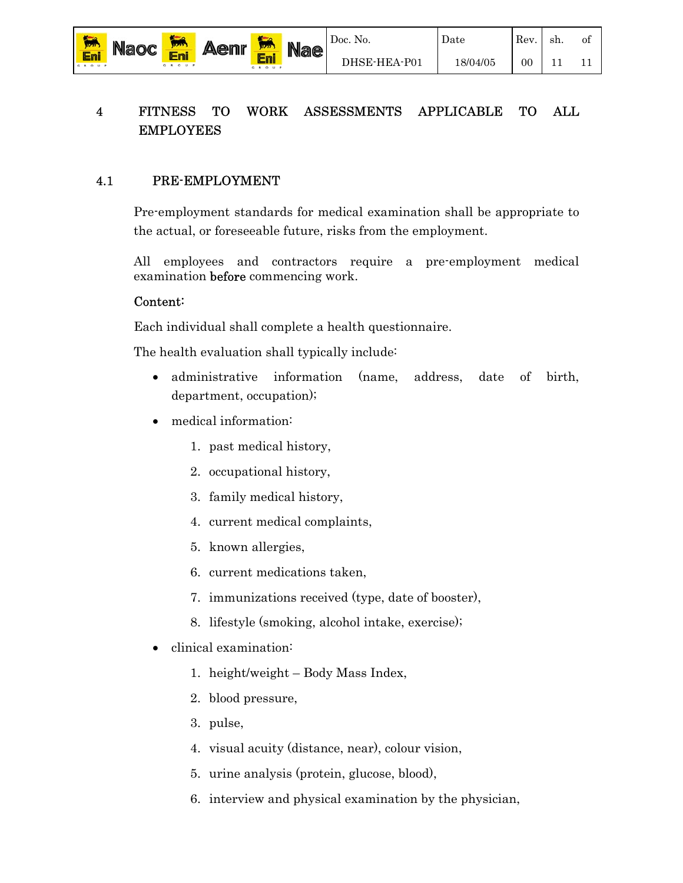sh.

of

11

11

## 4 FITNESS TO WORK ASSESSMENTS APPLICABLE TO ALL EMPLOYEES

#### 4.1 PRE-EMPLOYMENT

Pre-employment standards for medical examination shall be appropriate to the actual, or foreseeable future, risks from the employment.

All employees and contractors require a pre-employment medical examination **before** commencing work.

#### Content:

Eni

Each individual shall complete a health questionnaire.

The health evaluation shall typically include:

- administrative information (name, address, date of birth, department, occupation);
- medical information:
	- 1. past medical history,
	- 2. occupational history,
	- 3. family medical history,
	- 4. current medical complaints,
	- 5. known allergies,
	- 6. current medications taken,
	- 7. immunizations received (type, date of booster),
	- 8. lifestyle (smoking, alcohol intake, exercise);
- clinical examination:
	- 1. height/weight Body Mass Index,
	- 2. blood pressure,
	- 3. pulse,
	- 4. visual acuity (distance, near), colour vision,
	- 5. urine analysis (protein, glucose, blood),
	- 6. interview and physical examination by the physician,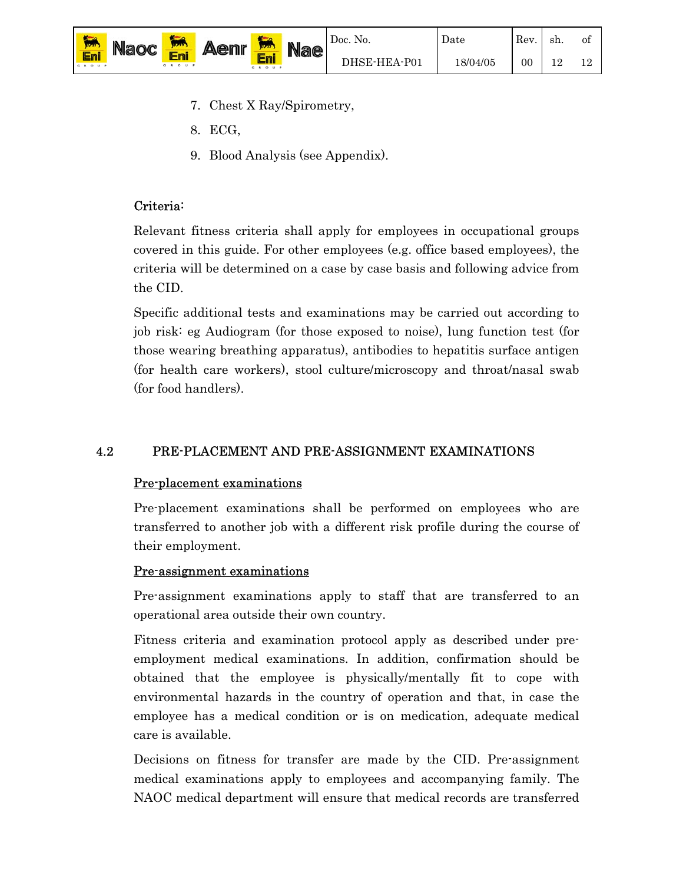

Date

- 7. Chest X Ray/Spirometry,
- 8. ECG,
- 9. Blood Analysis (see Appendix).

## Criteria:

Relevant fitness criteria shall apply for employees in occupational groups covered in this guide. For other employees (e.g. office based employees), the criteria will be determined on a case by case basis and following advice from the CID.

Specific additional tests and examinations may be carried out according to job risk: eg Audiogram (for those exposed to noise), lung function test (for those wearing breathing apparatus), antibodies to hepatitis surface antigen (for health care workers), stool culture/microscopy and throat/nasal swab (for food handlers).

# 4.2 PRE-PLACEMENT AND PRE-ASSIGNMENT EXAMINATIONS

# Pre-placement examinations

Pre-placement examinations shall be performed on employees who are transferred to another job with a different risk profile during the course of their employment.

# Pre-assignment examinations

Pre-assignment examinations apply to staff that are transferred to an operational area outside their own country.

Fitness criteria and examination protocol apply as described under preemployment medical examinations. In addition, confirmation should be obtained that the employee is physically/mentally fit to cope with environmental hazards in the country of operation and that, in case the employee has a medical condition or is on medication, adequate medical care is available.

Decisions on fitness for transfer are made by the CID. Pre-assignment medical examinations apply to employees and accompanying family. The NAOC medical department will ensure that medical records are transferred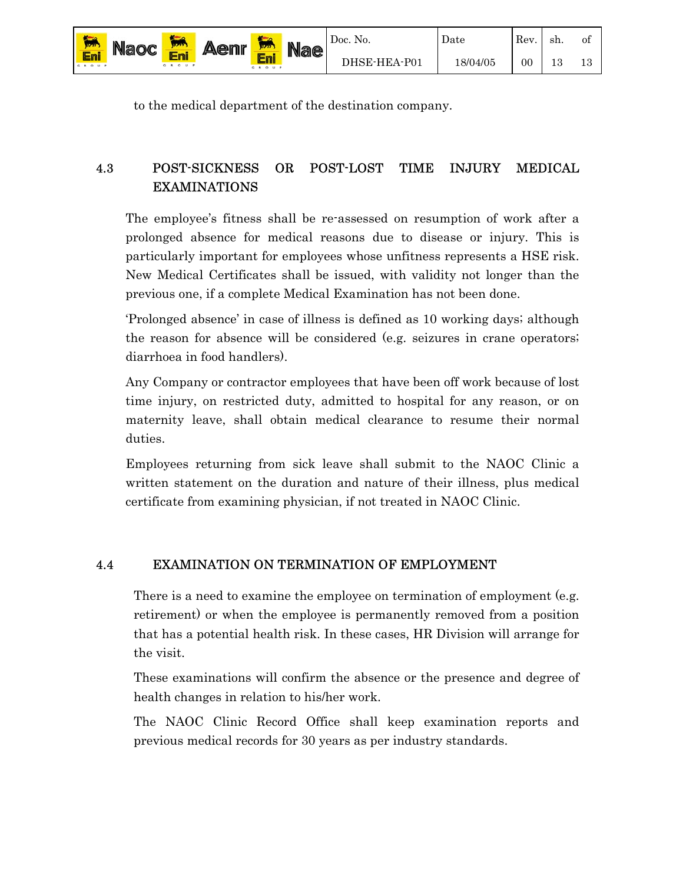| 歸            | <b>Naoc</b> |          | Δ<br><b>A@nr</b> | 17777     | <b>Nae</b> | Doc. No.     | Date    | Rev.   | -sh. | 0İ |
|--------------|-------------|----------|------------------|-----------|------------|--------------|---------|--------|------|----|
| Eni<br>GROUP |             | Ē<br>O U |                  | 5 8 0 0 8 |            | DHSE-HEA-P01 | 8/04/05 | $00\,$ |      |    |

to the medical department of the destination company.

## 4.3 POST-SICKNESS OR POST-LOST TIME INJURY MEDICAL EXAMINATIONS

The employee's fitness shall be re-assessed on resumption of work after a prolonged absence for medical reasons due to disease or injury. This is particularly important for employees whose unfitness represents a HSE risk. New Medical Certificates shall be issued, with validity not longer than the previous one, if a complete Medical Examination has not been done.

'Prolonged absence' in case of illness is defined as 10 working days; although the reason for absence will be considered (e.g. seizures in crane operators; diarrhoea in food handlers).

Any Company or contractor employees that have been off work because of lost time injury, on restricted duty, admitted to hospital for any reason, or on maternity leave, shall obtain medical clearance to resume their normal duties.

Employees returning from sick leave shall submit to the NAOC Clinic a written statement on the duration and nature of their illness, plus medical certificate from examining physician, if not treated in NAOC Clinic.

#### 4.4 EXAMINATION ON TERMINATION OF EMPLOYMENT

There is a need to examine the employee on termination of employment (e.g. retirement) or when the employee is permanently removed from a position that has a potential health risk. In these cases, HR Division will arrange for the visit.

These examinations will confirm the absence or the presence and degree of health changes in relation to his/her work.

The NAOC Clinic Record Office shall keep examination reports and previous medical records for 30 years as per industry standards.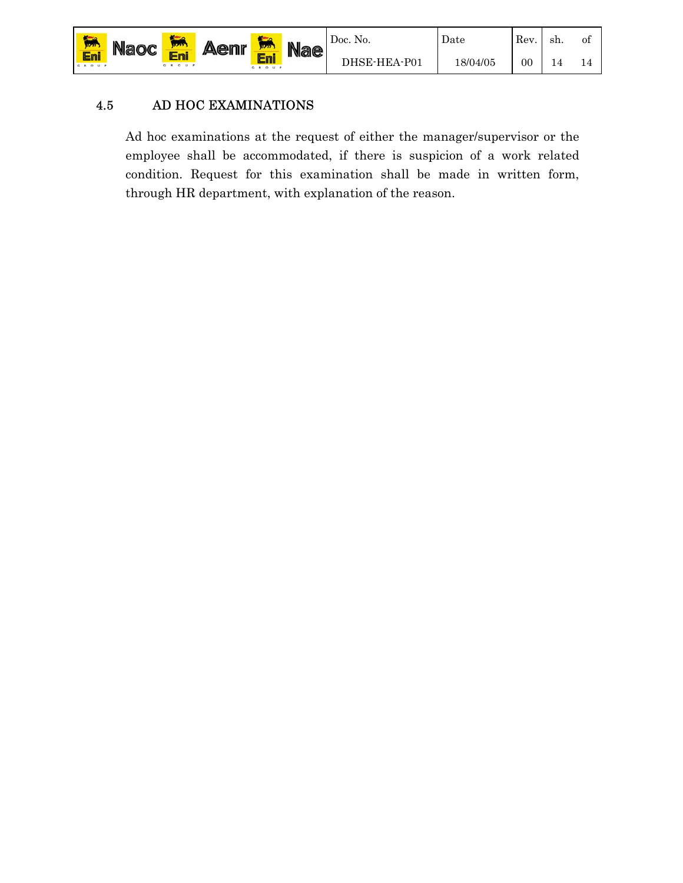

#### 4.5 AD HOC EXAMINATIONS

Ad hoc examinations at the request of either the manager/supervisor or the employee shall be accommodated, if there is suspicion of a work related condition. Request for this examination shall be made in written form, through HR department, with explanation of the reason.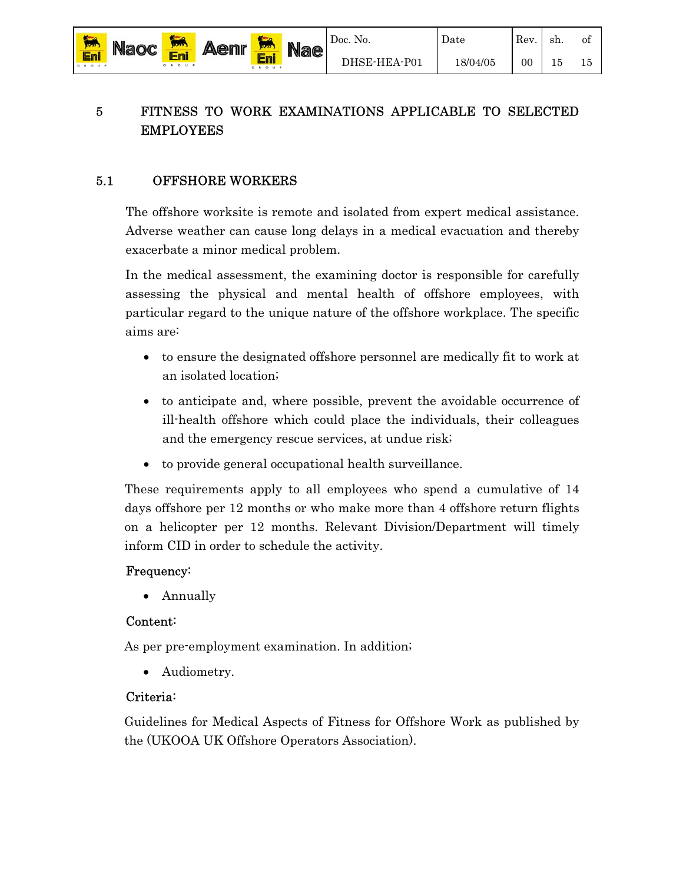## 5 FITNESS TO WORK EXAMINATIONS APPLICABLE TO SELECTED EMPLOYEES

#### 5.1 OFFSHORE WORKERS

Eni

The offshore worksite is remote and isolated from expert medical assistance. Adverse weather can cause long delays in a medical evacuation and thereby exacerbate a minor medical problem.

In the medical assessment, the examining doctor is responsible for carefully assessing the physical and mental health of offshore employees, with particular regard to the unique nature of the offshore workplace. The specific aims are:

- to ensure the designated offshore personnel are medically fit to work at an isolated location;
- to anticipate and, where possible, prevent the avoidable occurrence of ill-health offshore which could place the individuals, their colleagues and the emergency rescue services, at undue risk;
- to provide general occupational health surveillance.

These requirements apply to all employees who spend a cumulative of 14 days offshore per 12 months or who make more than 4 offshore return flights on a helicopter per 12 months. Relevant Division/Department will timely inform CID in order to schedule the activity.

#### Frequency:

• Annually

#### Content:

As per pre-employment examination. In addition;

• Audiometry.

#### Criteria:

Guidelines for Medical Aspects of Fitness for Offshore Work as published by the (UKOOA UK Offshore Operators Association).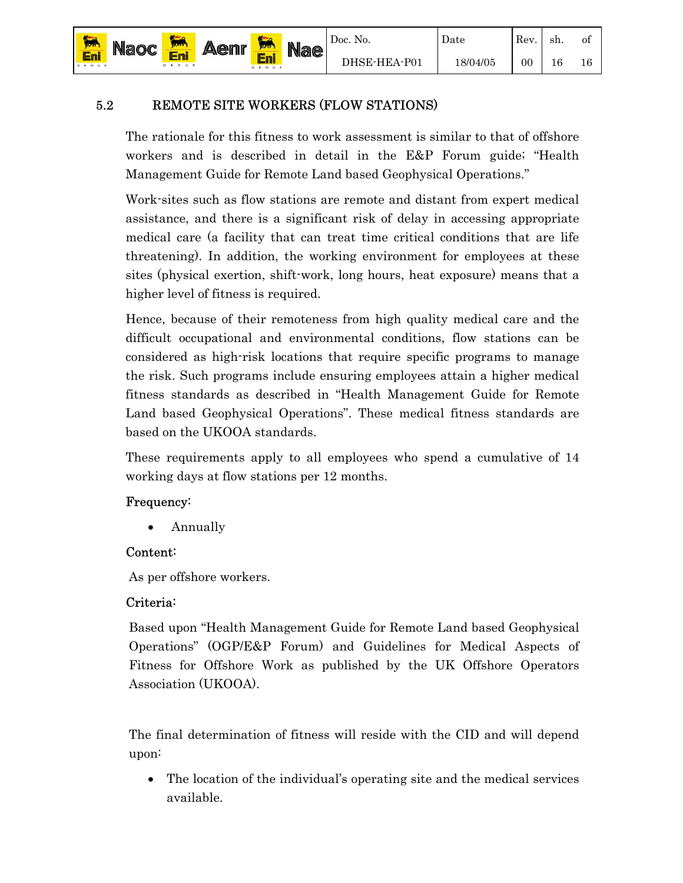#### 5.2 REMOTE SITE WORKERS (FLOW STATIONS)

The rationale for this fitness to work assessment is similar to that of offshore workers and is described in detail in the E&P Forum guide; "Health Management Guide for Remote Land based Geophysical Operations."

Work-sites such as flow stations are remote and distant from expert medical assistance, and there is a significant risk of delay in accessing appropriate medical care (a facility that can treat time critical conditions that are life threatening). In addition, the working environment for employees at these sites (physical exertion, shift-work, long hours, heat exposure) means that a higher level of fitness is required.

Hence, because of their remoteness from high quality medical care and the difficult occupational and environmental conditions, flow stations can be considered as high-risk locations that require specific programs to manage the risk. Such programs include ensuring employees attain a higher medical fitness standards as described in "Health Management Guide for Remote Land based Geophysical Operations". These medical fitness standards are based on the UKOOA standards.

These requirements apply to all employees who spend a cumulative of 14 working days at flow stations per 12 months.

#### Frequency:

• Annually

#### Content:

As per offshore workers.

#### Criteria:

Based upon "Health Management Guide for Remote Land based Geophysical Operations" (OGP/E&P Forum) and Guidelines for Medical Aspects of Fitness for Offshore Work as published by the UK Offshore Operators Association (UKOOA).

The final determination of fitness will reside with the CID and will depend upon:

• The location of the individual's operating site and the medical services available.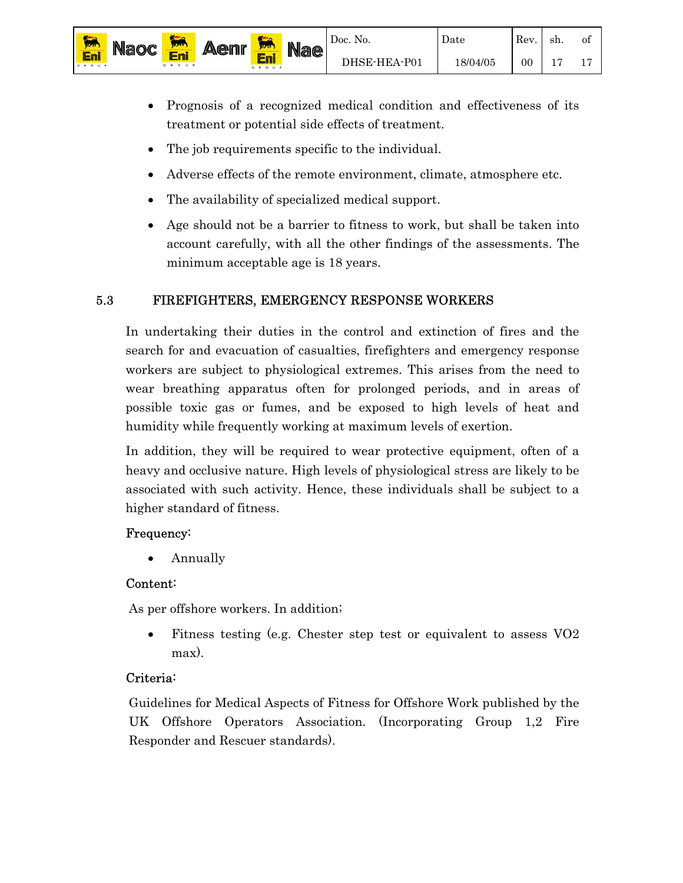

Date

of 17

- Prognosis of a recognized medical condition and effectiveness of its treatment or potential side effects of treatment.
- The job requirements specific to the individual.
- Adverse effects of the remote environment, climate, atmosphere etc.
- The availability of specialized medical support.
- Age should not be a barrier to fitness to work, but shall be taken into account carefully, with all the other findings of the assessments. The minimum acceptable age is 18 years.

# 5.3 FIREFIGHTERS, EMERGENCY RESPONSE WORKERS

In undertaking their duties in the control and extinction of fires and the search for and evacuation of casualties, firefighters and emergency response workers are subject to physiological extremes. This arises from the need to wear breathing apparatus often for prolonged periods, and in areas of possible toxic gas or fumes, and be exposed to high levels of heat and humidity while frequently working at maximum levels of exertion.

In addition, they will be required to wear protective equipment, often of a heavy and occlusive nature. High levels of physiological stress are likely to be associated with such activity. Hence, these individuals shall be subject to a higher standard of fitness.

## Frequency:

• Annually

Eni

Eni

# Content:

As per offshore workers. In addition;

• Fitness testing (e.g. Chester step test or equivalent to assess VO2 max).

# Criteria:

Guidelines for Medical Aspects of Fitness for Offshore Work published by the UK Offshore Operators Association. (Incorporating Group 1,2 Fire Responder and Rescuer standards).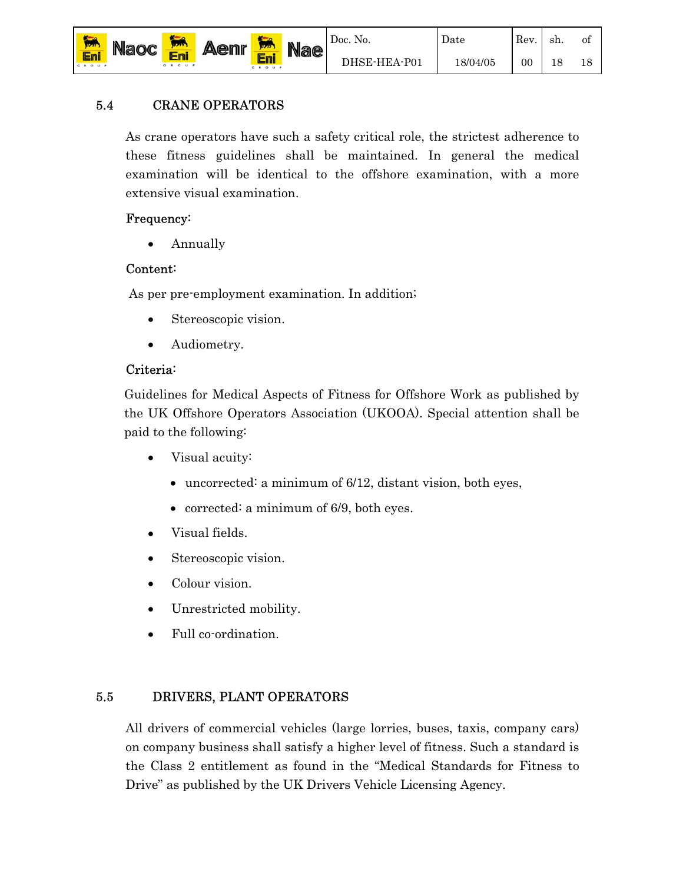

## 5.4 CRANE OPERATORS

As crane operators have such a safety critical role, the strictest adherence to these fitness guidelines shall be maintained. In general the medical examination will be identical to the offshore examination, with a more extensive visual examination.

## Frequency:

Eni

• Annually

## Content:

As per pre-employment examination. In addition;

- Stereoscopic vision.
- Audiometry.

## Criteria:

Guidelines for Medical Aspects of Fitness for Offshore Work as published by the UK Offshore Operators Association (UKOOA). Special attention shall be paid to the following:

- Visual acuity:
	- uncorrected: a minimum of 6/12, distant vision, both eyes,
	- corrected: a minimum of 6/9, both eyes.
- Visual fields.
- Stereoscopic vision.
- Colour vision.
- Unrestricted mobility.
- Full co-ordination.

# 5.5 DRIVERS, PLANT OPERATORS

All drivers of commercial vehicles (large lorries, buses, taxis, company cars) on company business shall satisfy a higher level of fitness. Such a standard is the Class 2 entitlement as found in the "Medical Standards for Fitness to Drive" as published by the UK Drivers Vehicle Licensing Agency.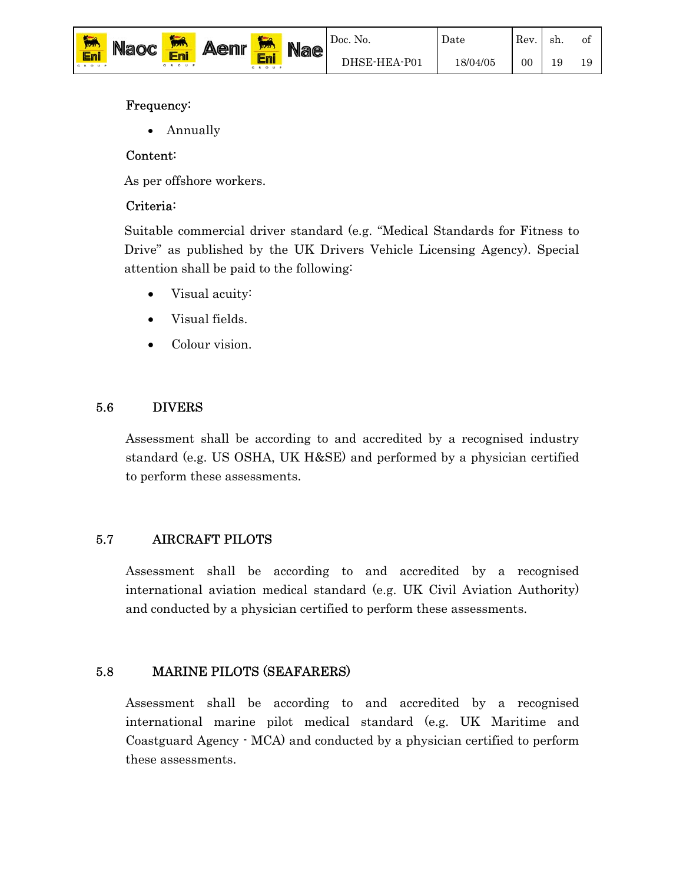

Date

of 19

#### Frequency:

• Annually

#### Content:

As per offshore workers.

## Criteria:

Suitable commercial driver standard (e.g. "Medical Standards for Fitness to Drive" as published by the UK Drivers Vehicle Licensing Agency). Special attention shall be paid to the following:

- Visual acuity:
- Visual fields.
- Colour vision.

## 5.6 DIVERS

Assessment shall be according to and accredited by a recognised industry standard (e.g. US OSHA, UK H&SE) and performed by a physician certified to perform these assessments.

# 5.7 AIRCRAFT PILOTS

Assessment shall be according to and accredited by a recognised international aviation medical standard (e.g. UK Civil Aviation Authority) and conducted by a physician certified to perform these assessments.

## 5.8 MARINE PILOTS (SEAFARERS)

Assessment shall be according to and accredited by a recognised international marine pilot medical standard (e.g. UK Maritime and Coastguard Agency - MCA) and conducted by a physician certified to perform these assessments.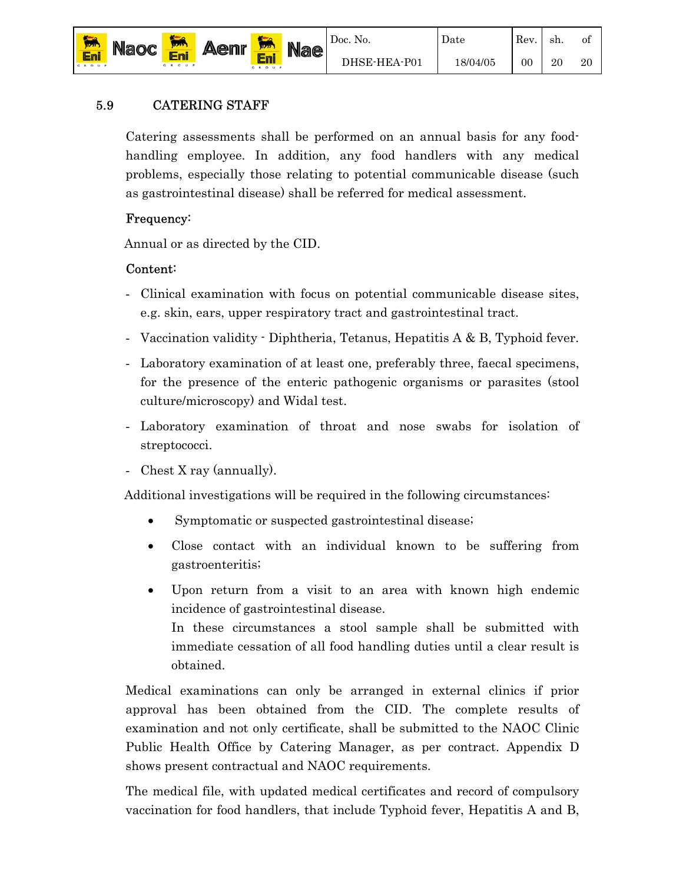

20

Date

## 5.9 CATERING STAFF

Catering assessments shall be performed on an annual basis for any foodhandling employee. In addition, any food handlers with any medical problems, especially those relating to potential communicable disease (such as gastrointestinal disease) shall be referred for medical assessment.

#### Frequency:

Annual or as directed by the CID.

## Content:

- Clinical examination with focus on potential communicable disease sites, e.g. skin, ears, upper respiratory tract and gastrointestinal tract.
- Vaccination validity Diphtheria, Tetanus, Hepatitis A & B, Typhoid fever.
- Laboratory examination of at least one, preferably three, faecal specimens, for the presence of the enteric pathogenic organisms or parasites (stool culture/microscopy) and Widal test.
- Laboratory examination of throat and nose swabs for isolation of streptococci.
- Chest X ray (annually).

Additional investigations will be required in the following circumstances:

- Symptomatic or suspected gastrointestinal disease;
- Close contact with an individual known to be suffering from gastroenteritis;
- Upon return from a visit to an area with known high endemic incidence of gastrointestinal disease. In these circumstances a stool sample shall be submitted with immediate cessation of all food handling duties until a clear result is obtained.

Medical examinations can only be arranged in external clinics if prior approval has been obtained from the CID. The complete results of examination and not only certificate, shall be submitted to the NAOC Clinic Public Health Office by Catering Manager, as per contract. Appendix D shows present contractual and NAOC requirements.

The medical file, with updated medical certificates and record of compulsory vaccination for food handlers, that include Typhoid fever, Hepatitis A and B,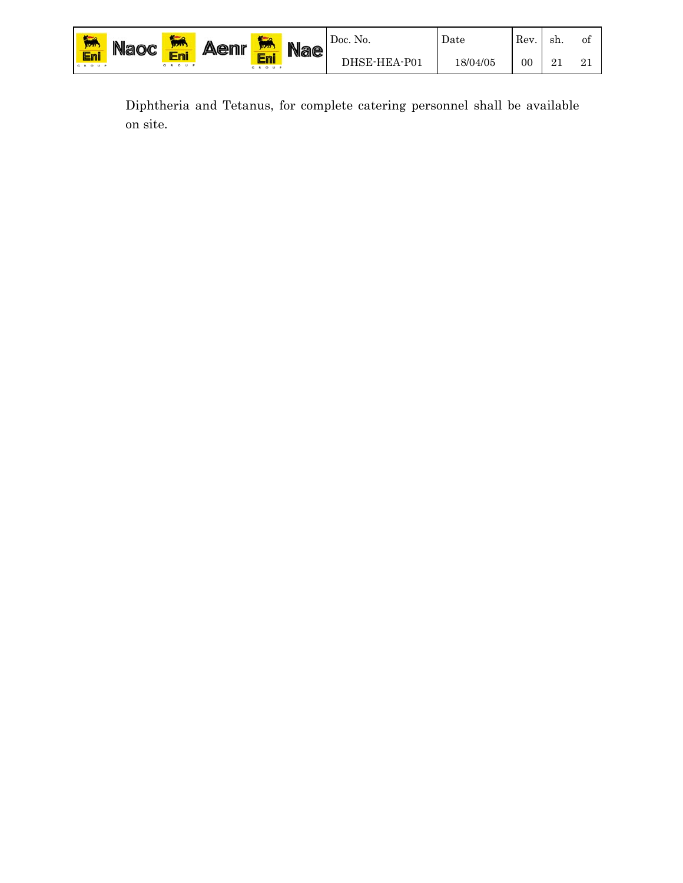| <b>Jizzi</b> | <b>Naoc</b> | <b>WAY</b> | <b>Aenr</b> | æ<br><b>WAY</b> | <b>Nae</b> | Doc. No.     | Date     | Rev. | sh.      | Οİ |
|--------------|-------------|------------|-------------|-----------------|------------|--------------|----------|------|----------|----|
| Eni<br>GROUP |             | GROUP      |             | Er<br>GROUP     |            | DHSE-HEA-P01 | 18/04/05 | 00   | െ<br>∸ ⊥ | ◢  |

Diphtheria and Tetanus, for complete catering personnel shall be available on site.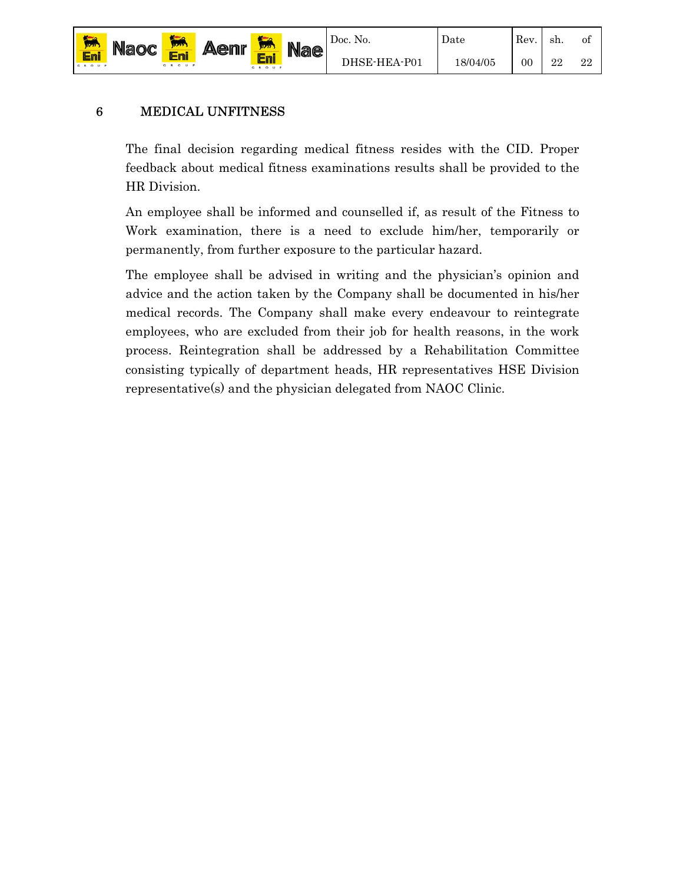

22

Date

## 6 MEDICAL UNFITNESS

Eni

The final decision regarding medical fitness resides with the CID. Proper feedback about medical fitness examinations results shall be provided to the HR Division.

An employee shall be informed and counselled if, as result of the Fitness to Work examination, there is a need to exclude him/her, temporarily or permanently, from further exposure to the particular hazard.

The employee shall be advised in writing and the physician's opinion and advice and the action taken by the Company shall be documented in his/her medical records. The Company shall make every endeavour to reintegrate employees, who are excluded from their job for health reasons, in the work process. Reintegration shall be addressed by a Rehabilitation Committee consisting typically of department heads, HR representatives HSE Division representative(s) and the physician delegated from NAOC Clinic.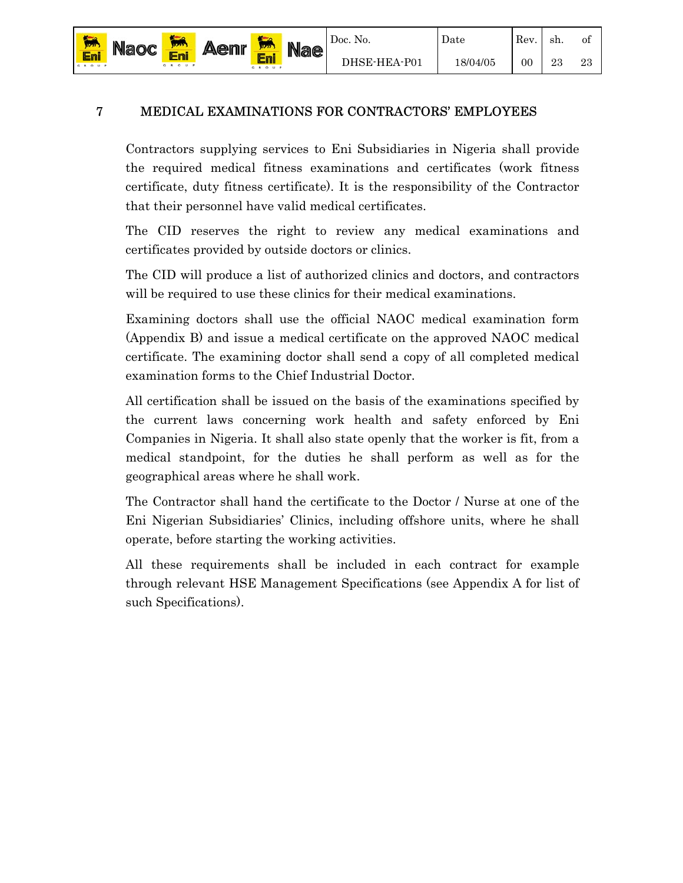#### 7 MEDICAL EXAMINATIONS FOR CONTRACTORS' EMPLOYEES

Eni

Eni

Contractors supplying services to Eni Subsidiaries in Nigeria shall provide the required medical fitness examinations and certificates (work fitness certificate, duty fitness certificate). It is the responsibility of the Contractor that their personnel have valid medical certificates.

The CID reserves the right to review any medical examinations and certificates provided by outside doctors or clinics.

The CID will produce a list of authorized clinics and doctors, and contractors will be required to use these clinics for their medical examinations.

Examining doctors shall use the official NAOC medical examination form (Appendix B) and issue a medical certificate on the approved NAOC medical certificate. The examining doctor shall send a copy of all completed medical examination forms to the Chief Industrial Doctor.

All certification shall be issued on the basis of the examinations specified by the current laws concerning work health and safety enforced by Eni Companies in Nigeria. It shall also state openly that the worker is fit, from a medical standpoint, for the duties he shall perform as well as for the geographical areas where he shall work.

The Contractor shall hand the certificate to the Doctor / Nurse at one of the Eni Nigerian Subsidiaries' Clinics, including offshore units, where he shall operate, before starting the working activities.

All these requirements shall be included in each contract for example through relevant HSE Management Specifications (see Appendix A for list of such Specifications).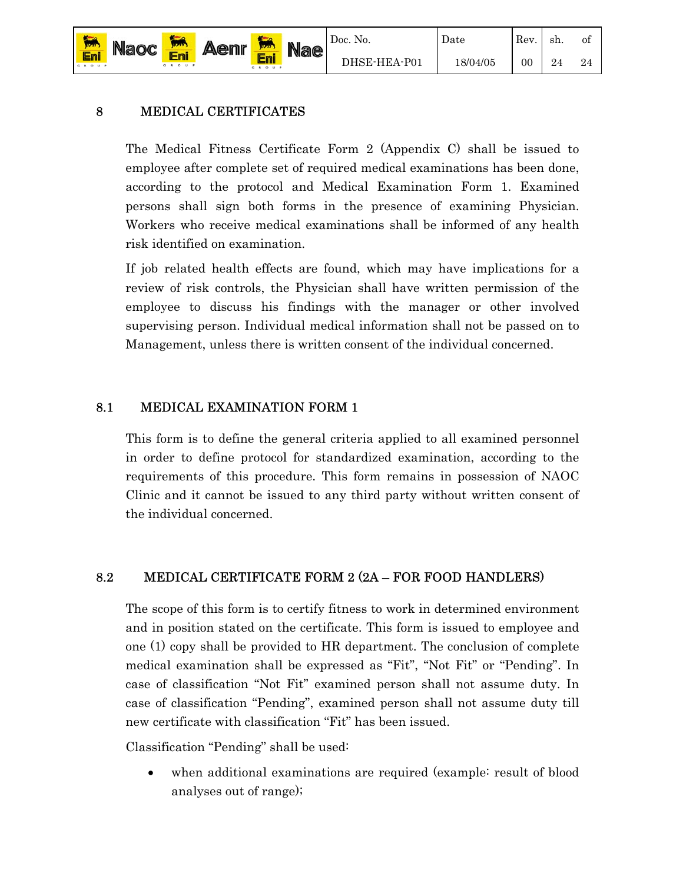

Date

## 8 MEDICAL CERTIFICATES

The Medical Fitness Certificate Form 2 (Appendix C) shall be issued to employee after complete set of required medical examinations has been done, according to the protocol and Medical Examination Form 1. Examined persons shall sign both forms in the presence of examining Physician. Workers who receive medical examinations shall be informed of any health risk identified on examination.

If job related health effects are found, which may have implications for a review of risk controls, the Physician shall have written permission of the employee to discuss his findings with the manager or other involved supervising person. Individual medical information shall not be passed on to Management, unless there is written consent of the individual concerned.

## 8.1 MEDICAL EXAMINATION FORM 1

This form is to define the general criteria applied to all examined personnel in order to define protocol for standardized examination, according to the requirements of this procedure. This form remains in possession of NAOC Clinic and it cannot be issued to any third party without written consent of the individual concerned.

## 8.2 MEDICAL CERTIFICATE FORM 2 (2A – FOR FOOD HANDLERS)

The scope of this form is to certify fitness to work in determined environment and in position stated on the certificate. This form is issued to employee and one (1) copy shall be provided to HR department. The conclusion of complete medical examination shall be expressed as "Fit", "Not Fit" or "Pending". In case of classification "Not Fit" examined person shall not assume duty. In case of classification "Pending", examined person shall not assume duty till new certificate with classification "Fit" has been issued.

Classification "Pending" shall be used:

• when additional examinations are required (example: result of blood analyses out of range);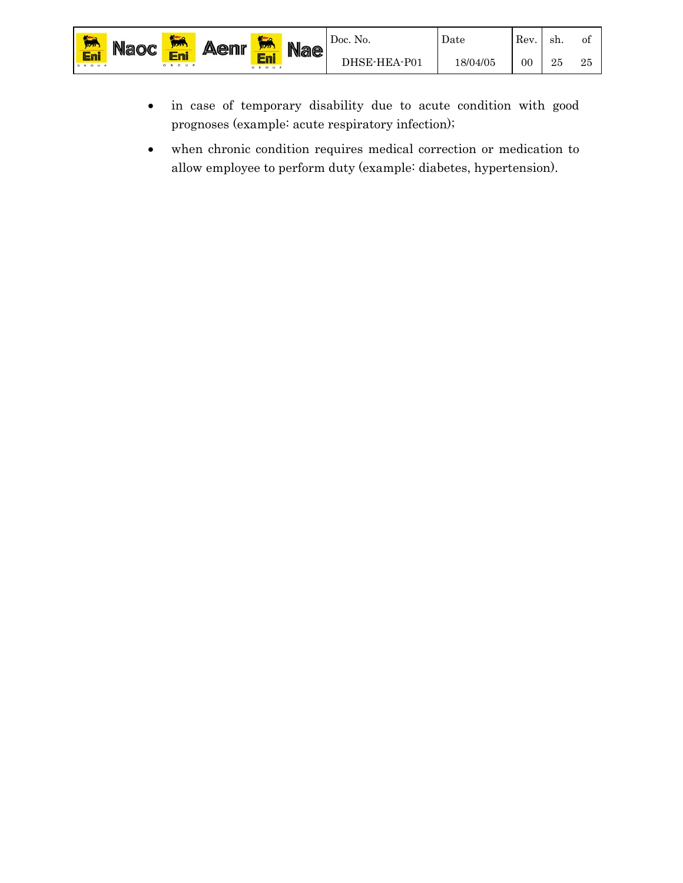- in case of temporary disability due to acute condition with good prognoses (example: acute respiratory infection);
- when chronic condition requires medical correction or medication to allow employee to perform duty (example: diabetes, hypertension).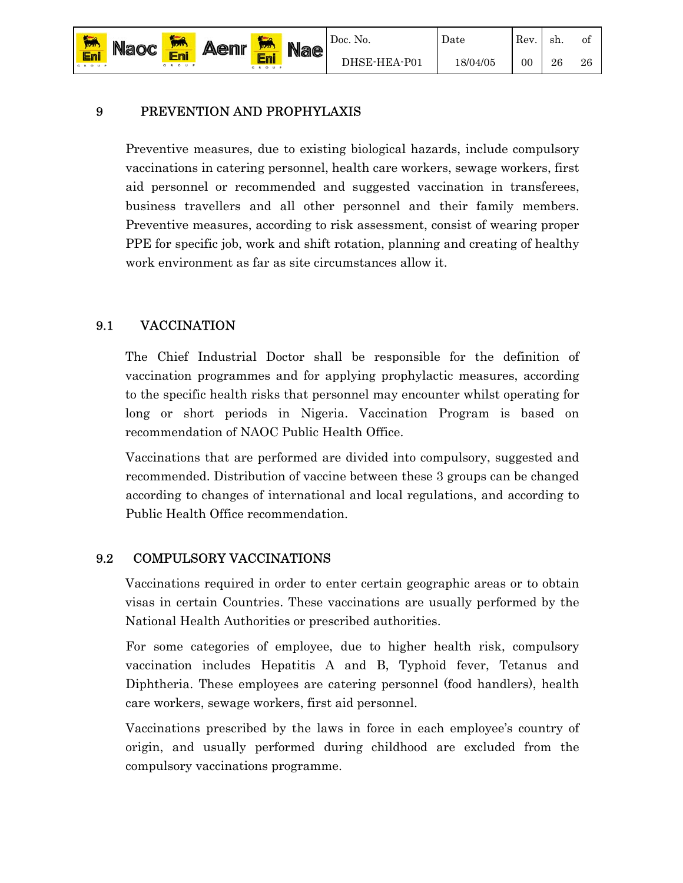## 9 PREVENTION AND PROPHYLAXIS

Preventive measures, due to existing biological hazards, include compulsory vaccinations in catering personnel, health care workers, sewage workers, first aid personnel or recommended and suggested vaccination in transferees, business travellers and all other personnel and their family members. Preventive measures, according to risk assessment, consist of wearing proper PPE for specific job, work and shift rotation, planning and creating of healthy work environment as far as site circumstances allow it.

# 9.1 VACCINATION

Eni

The Chief Industrial Doctor shall be responsible for the definition of vaccination programmes and for applying prophylactic measures, according to the specific health risks that personnel may encounter whilst operating for long or short periods in Nigeria. Vaccination Program is based on recommendation of NAOC Public Health Office.

Vaccinations that are performed are divided into compulsory, suggested and recommended. Distribution of vaccine between these 3 groups can be changed according to changes of international and local regulations, and according to Public Health Office recommendation.

# 9.2 COMPULSORY VACCINATIONS

Vaccinations required in order to enter certain geographic areas or to obtain visas in certain Countries. These vaccinations are usually performed by the National Health Authorities or prescribed authorities.

For some categories of employee, due to higher health risk, compulsory vaccination includes Hepatitis A and B, Typhoid fever, Tetanus and Diphtheria. These employees are catering personnel (food handlers), health care workers, sewage workers, first aid personnel.

Vaccinations prescribed by the laws in force in each employee's country of origin, and usually performed during childhood are excluded from the compulsory vaccinations programme.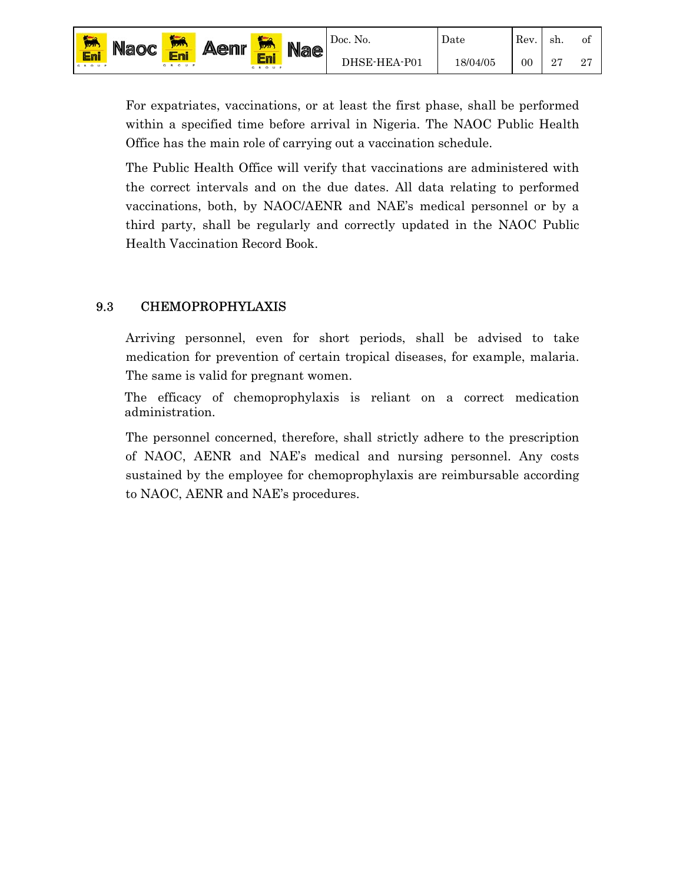For expatriates, vaccinations, or at least the first phase, shall be performed within a specified time before arrival in Nigeria. The NAOC Public Health Office has the main role of carrying out a vaccination schedule.

of 27

The Public Health Office will verify that vaccinations are administered with the correct intervals and on the due dates. All data relating to performed vaccinations, both, by NAOC/AENR and NAE's medical personnel or by a third party, shall be regularly and correctly updated in the NAOC Public Health Vaccination Record Book.

#### 9.3 CHEMOPROPHYLAXIS

Arriving personnel, even for short periods, shall be advised to take medication for prevention of certain tropical diseases, for example, malaria. The same is valid for pregnant women.

The efficacy of chemoprophylaxis is reliant on a correct medication administration.

The personnel concerned, therefore, shall strictly adhere to the prescription of NAOC, AENR and NAE's medical and nursing personnel. Any costs sustained by the employee for chemoprophylaxis are reimbursable according to NAOC, AENR and NAE's procedures.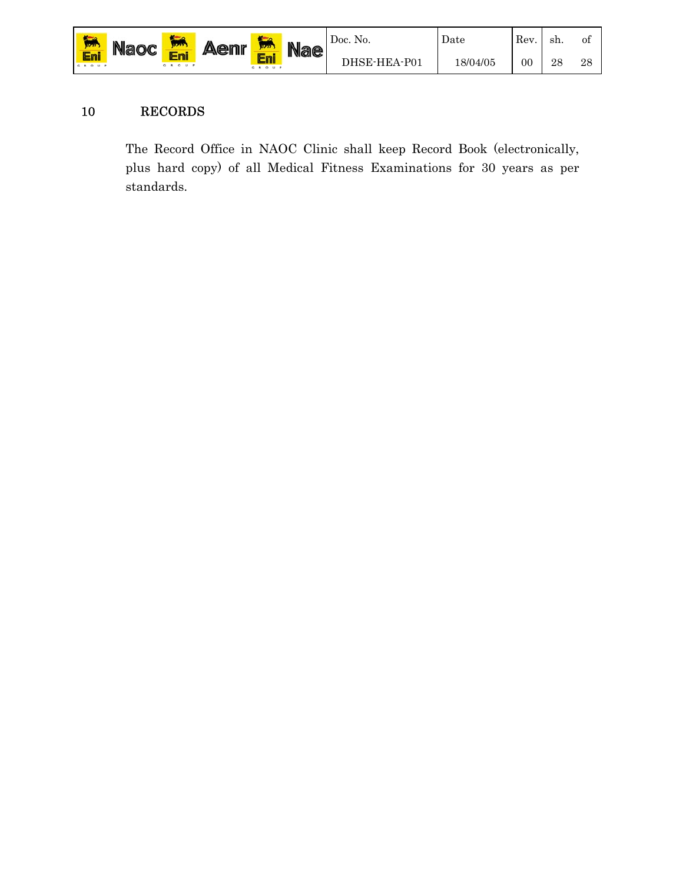

#### 10 RECORDS

The Record Office in NAOC Clinic shall keep Record Book (electronically, plus hard copy) of all Medical Fitness Examinations for 30 years as per standards.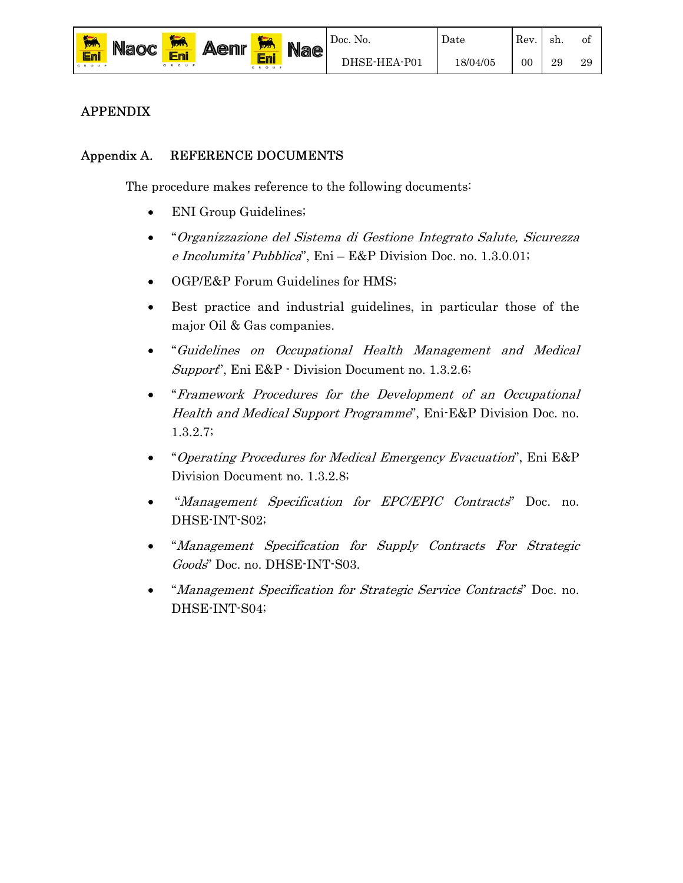

29

Date

#### APPENDIX

#### Appendix A. REFERENCE DOCUMENTS

Eni

The procedure makes reference to the following documents:

- ENI Group Guidelines;
- "Organizzazione del Sistema di Gestione Integrato Salute, Sicurezza e Incolumita' Pubblica", Eni – E&P Division Doc. no. 1.3.0.01;
- OGP/E&P Forum Guidelines for HMS;
- Best practice and industrial guidelines, in particular those of the major Oil & Gas companies.
- "Guidelines on Occupational Health Management and Medical Support", Eni E&P - Division Document no. 1.3.2.6;
- "Framework Procedures for the Development of an Occupational Health and Medical Support Programme", Eni-E&P Division Doc. no. 1.3.2.7;
- "Operating Procedures for Medical Emergency Evacuation", Eni E&P Division Document no. 1.3.2.8;
- "Management Specification for EPC/EPIC Contracts" Doc. no. DHSE-INT-S02;
- "Management Specification for Supply Contracts For Strategic Goods" Doc. no. DHSE-INT-S03.
- "Management Specification for Strategic Service Contracts" Doc. no. DHSE-INT-S04;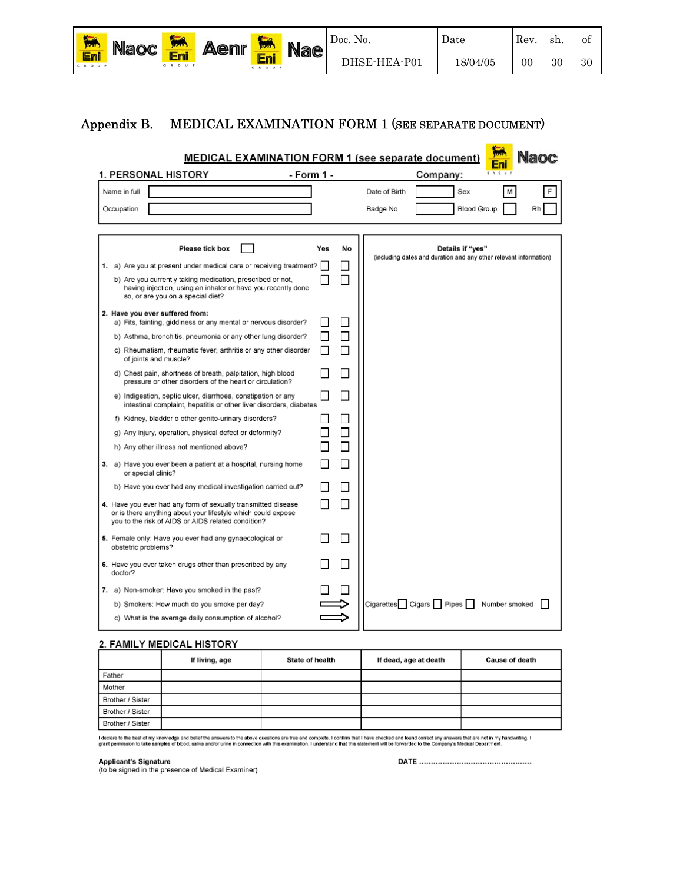| <b>TELESCOPE</b><br><b>MAY</b> | <b>Naoc</b> | <b>STATE</b> | <b>Aenr</b> | <b>TA</b><br>17777 | <b>Nae</b> | Doc. No.     | Date     | Rev. | sh. | Οİ |
|--------------------------------|-------------|--------------|-------------|--------------------|------------|--------------|----------|------|-----|----|
| Eni<br>GROUP                   |             | GROUP        |             | GROUP              |            | DHSE-HEA-P01 | 18/04/05 | 00   | 30  | 30 |

#### Appendix B. MEDICAL EXAMINATION FORM 1 (SEE SEPARATE DOCUMENT)

|                                                                                                                                                                                     |            | Nanc<br><b>MEDICAL EXAMINATION FORM 1 (see separate document)</b>                             |
|-------------------------------------------------------------------------------------------------------------------------------------------------------------------------------------|------------|-----------------------------------------------------------------------------------------------|
| 1. PERSONAL HISTORY                                                                                                                                                                 | - Form 1 - | 9A9V<br>Company:                                                                              |
| Name in full                                                                                                                                                                        |            | Date of Birth<br>Sex<br>м<br>F                                                                |
| Occupation                                                                                                                                                                          |            | <b>Blood Group</b><br>Badge No.<br>Rh                                                         |
|                                                                                                                                                                                     |            |                                                                                               |
| <b>Please tick box</b>                                                                                                                                                              | Yes        | No<br>Details if "yes"                                                                        |
| 1. a) Are you at present under medical care or receiving treatment?                                                                                                                 |            | (including dates and duration and any other relevant information)<br>$\overline{\phantom{a}}$ |
| b) Are you currently taking medication, prescribed or not,<br>having injection, using an inhaler or have you recently done<br>so, or are you on a special diet?                     |            | $\mathcal{L}_{\mathcal{A}}$                                                                   |
| 2. Have you ever suffered from:<br>a) Fits, fainting, giddiness or any mental or nervous disorder?                                                                                  |            | $\mathcal{L}$                                                                                 |
| b) Asthma, bronchitis, pneumonia or any other lung disorder?                                                                                                                        |            | П                                                                                             |
| c) Rheumatism, rheumatic fever, arthritis or any other disorder<br>of joints and muscle?                                                                                            |            | П                                                                                             |
| d) Chest pain, shortness of breath, palpitation, high blood<br>pressure or other disorders of the heart or circulation?                                                             |            |                                                                                               |
| e) Indigestion, peptic ulcer, diarrhoea, constipation or any<br>intestinal complaint, hepatitis or other liver disorders, diabetes                                                  |            | п                                                                                             |
| f) Kidney, bladder o other genito-urinary disorders?                                                                                                                                |            | $\overline{\phantom{a}}$                                                                      |
| g) Any injury, operation, physical defect or deformity?                                                                                                                             |            | П                                                                                             |
| h) Any other illness not mentioned above?                                                                                                                                           |            | П                                                                                             |
| 3. a) Have you ever been a patient at a hospital, nursing home<br>or special clinic?                                                                                                |            | П                                                                                             |
| b) Have you ever had any medical investigation carried out?                                                                                                                         |            | $\sim$                                                                                        |
| 4. Have you ever had any form of sexually transmitted disease<br>or is there anything about your lifestyle which could expose<br>you to the risk of AIDS or AIDS related condition? |            | П                                                                                             |
| 5. Female only: Have you ever had any gynaecological or<br>obstetric problems?                                                                                                      |            | $\overline{\phantom{a}}$                                                                      |
| 6. Have you ever taken drugs other than prescribed by any<br>doctor?                                                                                                                |            | п                                                                                             |
| 7. a) Non-smoker: Have you smoked in the past?                                                                                                                                      |            |                                                                                               |
| b) Smokers: How much do you smoke per day?                                                                                                                                          |            | $Cigareftes$ $Cigars$ Pipes<br>Number smoked                                                  |
| c) What is the average daily consumption of alcohol?                                                                                                                                |            |                                                                                               |

#### 2. FAMILY MEDICAL HISTORY

|                  | If living, age | <b>State of health</b> | If dead, age at death | <b>Cause of death</b> |
|------------------|----------------|------------------------|-----------------------|-----------------------|
| Father           |                |                        |                       |                       |
| Mother           |                |                        |                       |                       |
| Brother / Sister |                |                        |                       |                       |
| Brother / Sister |                |                        |                       |                       |
| Brother / Sister |                |                        |                       |                       |

I declare to the best of my knowledge and belief the answers to the above questions are true and comfirm the inform that I have checked and found correct any answers that are not in my handwriting. I<br>grant permission to ta

Applicant's Signature<br>(to be signed in the presence of Medical Examiner)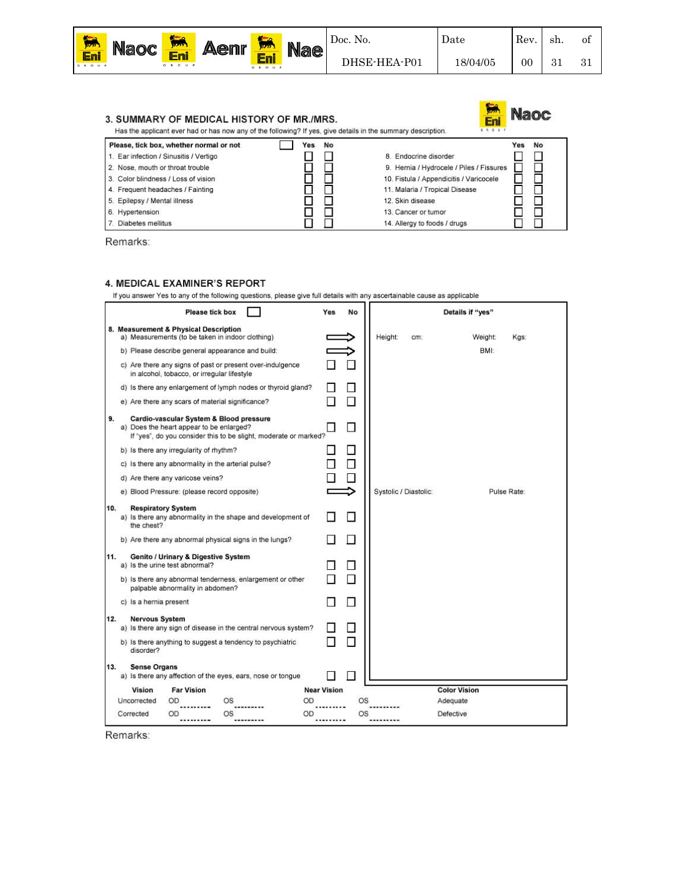

Date

| 3. SUMMARY OF MEDICAL HISTORY OF MR./MRS.<br>Has the applicant ever had or has now any of the following? If yes, give details in the summary description. |           | <b>Naoc</b><br>Eni<br><b>A 0 M</b>       |
|-----------------------------------------------------------------------------------------------------------------------------------------------------------|-----------|------------------------------------------|
| Please, tick box, whether normal or not                                                                                                                   | No<br>Yes | No<br>Yes                                |
| 1. Ear infection / Sinusitis / Vertigo                                                                                                                    |           | 8. Endocrine disorder                    |
| 2. Nose, mouth or throat trouble                                                                                                                          |           | 9. Hernia / Hydrocele / Piles / Fissures |
| 3. Color blindness / Loss of vision                                                                                                                       |           | 10. Fistula / Appendicitis / Varicocele  |
| 4. Frequent headaches / Fainting                                                                                                                          |           | 11. Malaria / Tropical Disease           |
| 5. Epilepsy / Mental illness                                                                                                                              |           | 12. Skin disease                         |
| 6. Hypertension                                                                                                                                           |           | 13. Cancer or tumor                      |
| Diabetes mellitus                                                                                                                                         |           | 14. Alleray to foods / druas             |

Remarks:

#### 4. MEDICAL EXAMINER'S REPORT

If you answer Yes to any of the following questions, please give full details with any ascertainable cause as applicable

|     |                        |                                         | <b>Please tick box</b>                                                                                                                                  | Yes                | No        |                       |     | Details if "yes"    |         |             |  |
|-----|------------------------|-----------------------------------------|---------------------------------------------------------------------------------------------------------------------------------------------------------|--------------------|-----------|-----------------------|-----|---------------------|---------|-------------|--|
|     |                        | 8. Measurement & Physical Description   | a) Measurements (to be taken in indoor clothing).                                                                                                       |                    |           | Height:               | cm: |                     | Weight: | Kgs:        |  |
|     |                        |                                         | b) Please describe general appearance and build:                                                                                                        |                    |           |                       |     |                     | BMI:    |             |  |
|     |                        |                                         | c) Are there any signs of past or present over-indulgence<br>in alcohol, tobacco, or irregular lifestyle                                                |                    |           |                       |     |                     |         |             |  |
|     |                        |                                         | d) Is there any enlargement of lymph nodes or thyroid gland?                                                                                            |                    |           |                       |     |                     |         |             |  |
|     |                        |                                         | e) Are there any scars of material significance?                                                                                                        |                    |           |                       |     |                     |         |             |  |
| 9.  |                        |                                         | Cardio-vascular System & Blood pressure<br>a) Does the heart appear to be enlarged?<br>If "yes", do you consider this to be slight, moderate or marked? |                    | IJ        |                       |     |                     |         |             |  |
|     |                        | b) Is there any irregularity of rhythm? |                                                                                                                                                         |                    |           |                       |     |                     |         |             |  |
|     |                        |                                         | c) Is there any abnormality in the arterial pulse?                                                                                                      |                    |           |                       |     |                     |         |             |  |
|     |                        | d) Are there any varicose veins?        |                                                                                                                                                         |                    |           |                       |     |                     |         |             |  |
|     |                        |                                         | e) Blood Pressure: (please record opposite)                                                                                                             |                    |           | Systolic / Diastolic: |     |                     |         | Pulse Rate: |  |
| 10. | the chest?             | <b>Respiratory System</b>               | a) Is there any abnormality in the shape and development of                                                                                             |                    | n.        |                       |     |                     |         |             |  |
|     |                        |                                         | b) Are there any abnormal physical signs in the lungs?                                                                                                  |                    |           |                       |     |                     |         |             |  |
| 11. |                        | a) Is the urine test abnormal?          | Genito / Urinary & Digestive System                                                                                                                     |                    |           |                       |     |                     |         |             |  |
|     |                        | palpable abnormality in abdomen?        | b) Is there any abnormal tenderness, enlargement or other                                                                                               |                    |           |                       |     |                     |         |             |  |
|     | c) Is a hernia present |                                         |                                                                                                                                                         |                    |           |                       |     |                     |         |             |  |
| 12. | <b>Nervous System</b>  |                                         | a) Is there any sign of disease in the central nervous system?                                                                                          |                    |           |                       |     |                     |         |             |  |
|     | disorder?              |                                         | b) Is there anything to suggest a tendency to psychiatric                                                                                               |                    |           |                       |     |                     |         |             |  |
| 13. | <b>Sense Organs</b>    |                                         |                                                                                                                                                         |                    |           |                       |     |                     |         |             |  |
|     |                        |                                         | a) Is there any affection of the eyes, ears, nose or tongue                                                                                             |                    |           |                       |     |                     |         |             |  |
|     | <b>Vision</b>          | <b>Far Vision</b>                       |                                                                                                                                                         | <b>Near Vision</b> |           |                       |     | <b>Color Vision</b> |         |             |  |
|     | Uncorrected            | OD                                      | OS                                                                                                                                                      | OD                 | <b>OS</b> |                       |     | Adequate            |         |             |  |
|     | Corrected              | OD                                      | OS                                                                                                                                                      | OD                 | OS        |                       |     | Defective           |         |             |  |

Remarks: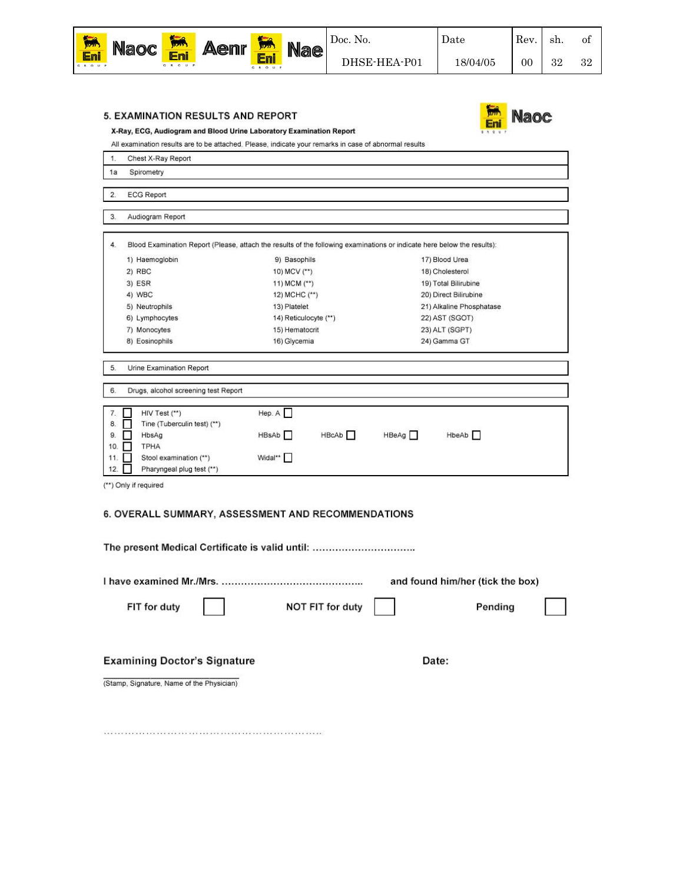

**Naoc** 

#### 5. EXAMINATION RESULTS AND REPORT



All examination results are to be attached. Please, indicate your remarks in case of abnormal results

| 1.                                  | Chest X-Ray Report                                                                                                                    |                                                                                                                          |                                                                                                                                                    |
|-------------------------------------|---------------------------------------------------------------------------------------------------------------------------------------|--------------------------------------------------------------------------------------------------------------------------|----------------------------------------------------------------------------------------------------------------------------------------------------|
| 1a                                  | Spirometry                                                                                                                            |                                                                                                                          |                                                                                                                                                    |
| 2.                                  | <b>ECG Report</b>                                                                                                                     |                                                                                                                          |                                                                                                                                                    |
| 3.                                  | Audiogram Report                                                                                                                      |                                                                                                                          |                                                                                                                                                    |
| 4.                                  |                                                                                                                                       | Blood Examination Report (Please, attach the results of the following examinations or indicate here below the results):  |                                                                                                                                                    |
|                                     | 1) Haemoglobin<br>2) RBC<br>3) ESR<br>4) WBC<br>5) Neutrophils<br>6) Lymphocytes<br>7) Monocytes                                      | 9) Basophils<br>10) MCV (**)<br>11) MCM (**)<br>12) MCHC (**)<br>13) Platelet<br>14) Reticulocyte (**)<br>15) Hematocrit | 17) Blood Urea<br>18) Cholesterol<br>19) Total Bilirubine<br>20) Direct Bilirubine<br>21) Alkaline Phosphatase<br>22) AST (SGOT)<br>23) ALT (SGPT) |
| 5.                                  | 8) Eosinophils<br>Urine Examination Report                                                                                            | 16) Glycemia                                                                                                             | 24) Gamma GT                                                                                                                                       |
| 6.                                  | Drugs, alcohol screening test Report                                                                                                  |                                                                                                                          |                                                                                                                                                    |
| 7.<br>8.<br>9.<br>10.<br>11.<br>12. | HIV Test (**)<br>Tine (Tuberculin test) (**)<br>ш<br>HbsAg<br>н<br><b>TPHA</b><br>Stool examination (**)<br>Pharyngeal plug test (**) | Hep. A<br>HBsAb<br>HBcAb <sub>[</sub><br>Widal**                                                                         | HBeAg<br>HbeAb <sup></sup>                                                                                                                         |
|                                     | (**) Only if required                                                                                                                 | 6. OVERALL SUMMARY, ASSESSMENT AND RECOMMENDATIONS                                                                       |                                                                                                                                                    |
|                                     |                                                                                                                                       | The present Medical Certificate is valid until:                                                                          |                                                                                                                                                    |
|                                     | I have examined Mr./Mrs.                                                                                                              |                                                                                                                          | and found him/her (tick the box)                                                                                                                   |
|                                     | FIT for duty                                                                                                                          | NOT FIT for duty                                                                                                         | Pending                                                                                                                                            |

**Examining Doctor's Signature** 

Date:

(Stamp, Signature, Name of the Physician)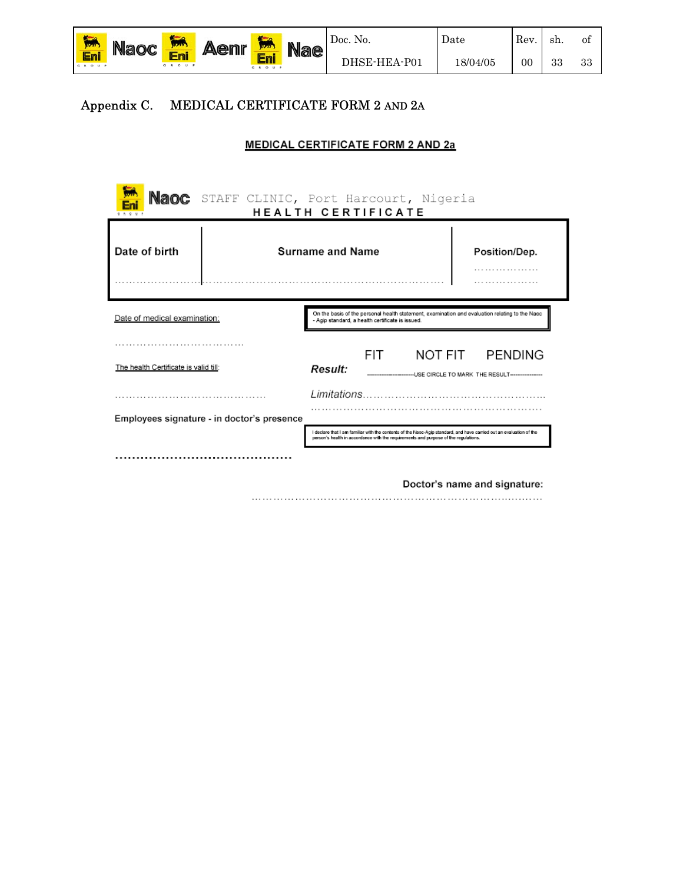

#### Appendix C. MEDICAL CERTIFICATE FORM 2 AND 2A

#### **MEDICAL CERTIFICATE FORM 2 AND 2a**

| <b>Naoc</b>                                                                                                                                                                        | STAFF CLINIC, Port Harcourt, Nigeria<br>HEALTH CERTIFICATE |                                                                                                                                                                                                            |  |  |                              |  |  |
|------------------------------------------------------------------------------------------------------------------------------------------------------------------------------------|------------------------------------------------------------|------------------------------------------------------------------------------------------------------------------------------------------------------------------------------------------------------------|--|--|------------------------------|--|--|
| Date of birth<br><b>Surname and Name</b><br>Position/Dep.<br>.                                                                                                                     |                                                            |                                                                                                                                                                                                            |  |  |                              |  |  |
| On the basis of the personal health statement, examination and evaluation relating to the Naoc<br>Date of medical examination:<br>- Agip standard, a health certificate is issued. |                                                            |                                                                                                                                                                                                            |  |  |                              |  |  |
| The health Certificate is valid till:                                                                                                                                              |                                                            | <b>PENDING</b><br>FIT.<br>NOT FIT<br><b>Result:</b><br>-- USE CIRCLE TO MARK THE RESULT------------------                                                                                                  |  |  |                              |  |  |
|                                                                                                                                                                                    |                                                            |                                                                                                                                                                                                            |  |  |                              |  |  |
| Employees signature - in doctor's presence                                                                                                                                         |                                                            | I declare that I am familiar with the contents of the Naoc-Agip standard, and have carried out an evaluation of the<br>person's health in accordance with the requirements and purpose of the regulations. |  |  |                              |  |  |
|                                                                                                                                                                                    |                                                            |                                                                                                                                                                                                            |  |  |                              |  |  |
|                                                                                                                                                                                    |                                                            |                                                                                                                                                                                                            |  |  | Doctor's name and signature: |  |  |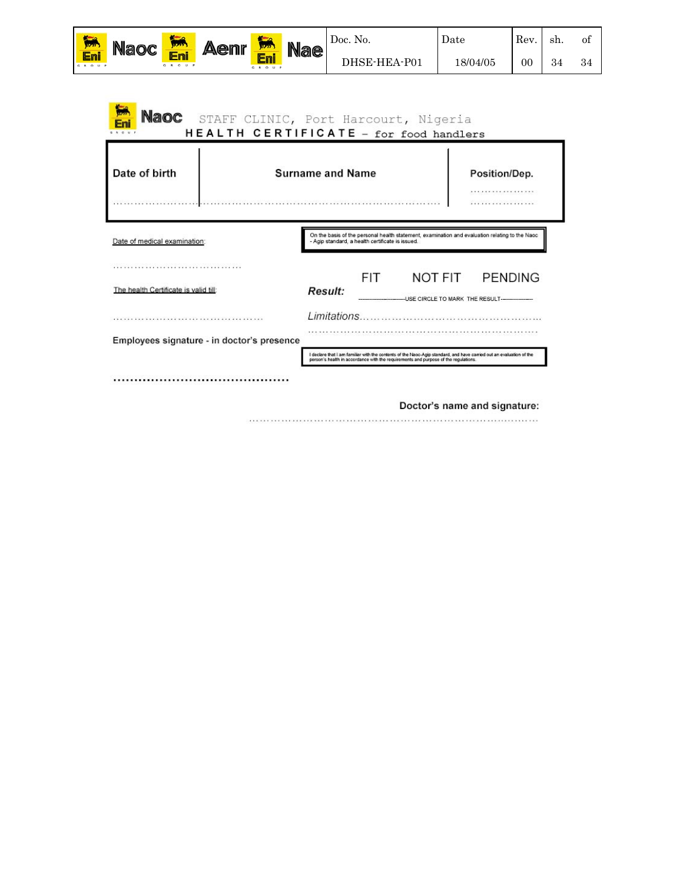| 協                  | <b>Aenr</b><br><b>Naoc</b><br><b>Nae</b><br><b>STATE</b><br>12222 |       | Doc. No. | Date  | Rev | -sh.         | Οİ       |    |    |    |
|--------------------|-------------------------------------------------------------------|-------|----------|-------|-----|--------------|----------|----|----|----|
| <b>En</b><br>GROUP |                                                                   | O U P |          | GROUP |     | DHSE-HEA-P01 | 18/04/05 | 00 | 34 | 34 |

| Date of birth                                                                                                                                          | <b>Surname and Name</b>                                                                                                                            | Position/Dep.<br>.<br>.                           |
|--------------------------------------------------------------------------------------------------------------------------------------------------------|----------------------------------------------------------------------------------------------------------------------------------------------------|---------------------------------------------------|
| Date of medical examination:                                                                                                                           | On the basis of the personal health statement, examination and evaluation relating to the Naoc<br>- Agip standard, a health certificate is issued. |                                                   |
| [사진] 1202년 1202년 2월 12일 전 1202년 1202년 1202년 1202년 1202년 1202년 1202년 1202년 1202년 1202년 1202년 1202년 1202년 1202년<br>The health Certificate is valid till: | FIT.<br><b>Result:</b>                                                                                                                             | NOT FIT PENDING<br>USE CIRCLE TO MARK THE RESULT. |
| <br>Employees signature - in doctor's presence                                                                                                         |                                                                                                                                                    |                                                   |
|                                                                                                                                                        | I declare that I am familiar with the contents of the Naoc-Agip standard, and have carried out an evaluation of the                                |                                                   |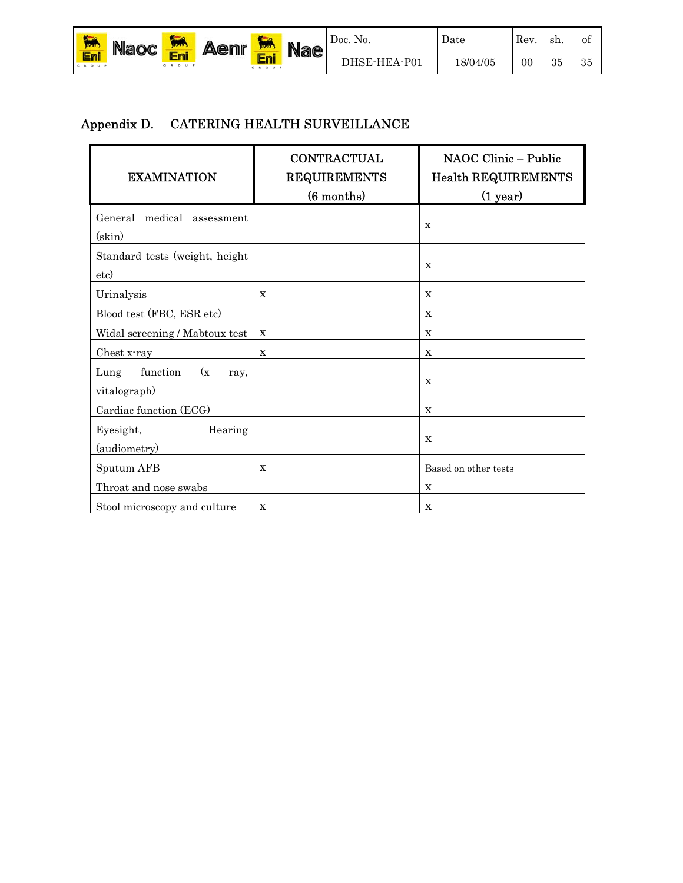| $\frac{1}{\ln n}$ | <b>Aenr</b><br><b>Naoc</b><br><b>MAY</b><br>11737 | <b>Nae</b>   | Doc. No. | Date       | Rev. | sh.          | Οİ       |    |    |    |
|-------------------|---------------------------------------------------|--------------|----------|------------|------|--------------|----------|----|----|----|
| Eni<br>GROUP      |                                                   | EMI<br>GROUP |          | e<br>GROUP |      | DHSE-HEA-P01 | 18/04/05 | 00 | 35 | 35 |

#### Appendix D. CATERING HEALTH SURVEILLANCE

| <b>EXAMINATION</b>                              | <b>CONTRACTUAL</b><br><b>REQUIREMENTS</b><br>(6 months) | NAOC Clinic - Public<br><b>Health REQUIREMENTS</b><br>(1 year) |  |  |  |  |
|-------------------------------------------------|---------------------------------------------------------|----------------------------------------------------------------|--|--|--|--|
| General medical<br>assessment<br>(skin)         |                                                         | $\mathbf x$                                                    |  |  |  |  |
| Standard tests (weight, height<br>etc)          |                                                         | $\mathbf x$                                                    |  |  |  |  |
| Urinalysis                                      | x                                                       | X                                                              |  |  |  |  |
| Blood test (FBC, ESR etc)                       |                                                         | X                                                              |  |  |  |  |
| Widal screening / Mabtoux test                  | $\mathbf x$                                             | $\mathbf X$                                                    |  |  |  |  |
| Chest x-ray                                     | $\mathbf X$                                             | $\mathbf X$                                                    |  |  |  |  |
| function<br>(x)<br>Lung<br>ray,<br>vitalograph) |                                                         | X                                                              |  |  |  |  |
| Cardiac function (ECG)                          |                                                         | $\mathbf X$                                                    |  |  |  |  |
| Hearing<br>Eyesight,<br>(audiometry)            |                                                         | $\mathbf{x}$                                                   |  |  |  |  |
| Sputum AFB                                      | $\mathbf X$                                             | Based on other tests                                           |  |  |  |  |
| Throat and nose swabs                           |                                                         | $\mathbf X$                                                    |  |  |  |  |
| Stool microscopy and culture                    | $\mathbf X$                                             | X                                                              |  |  |  |  |